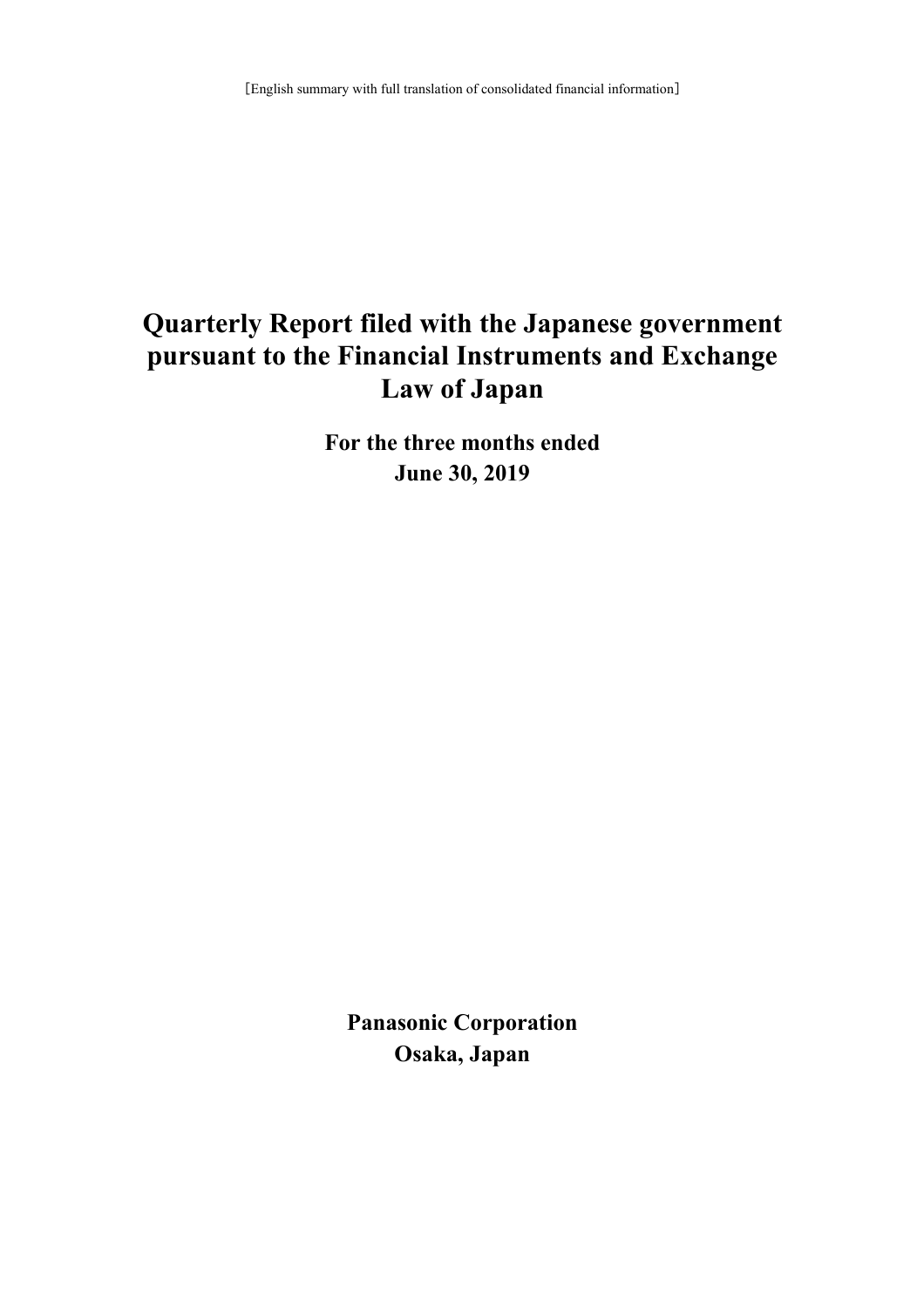# **Quarterly Report filed with the Japanese government pursuant to the Financial Instruments and Exchange Law of Japan**

**For the three months ended June 30, 2019**

**Panasonic Corporation Osaka, Japan**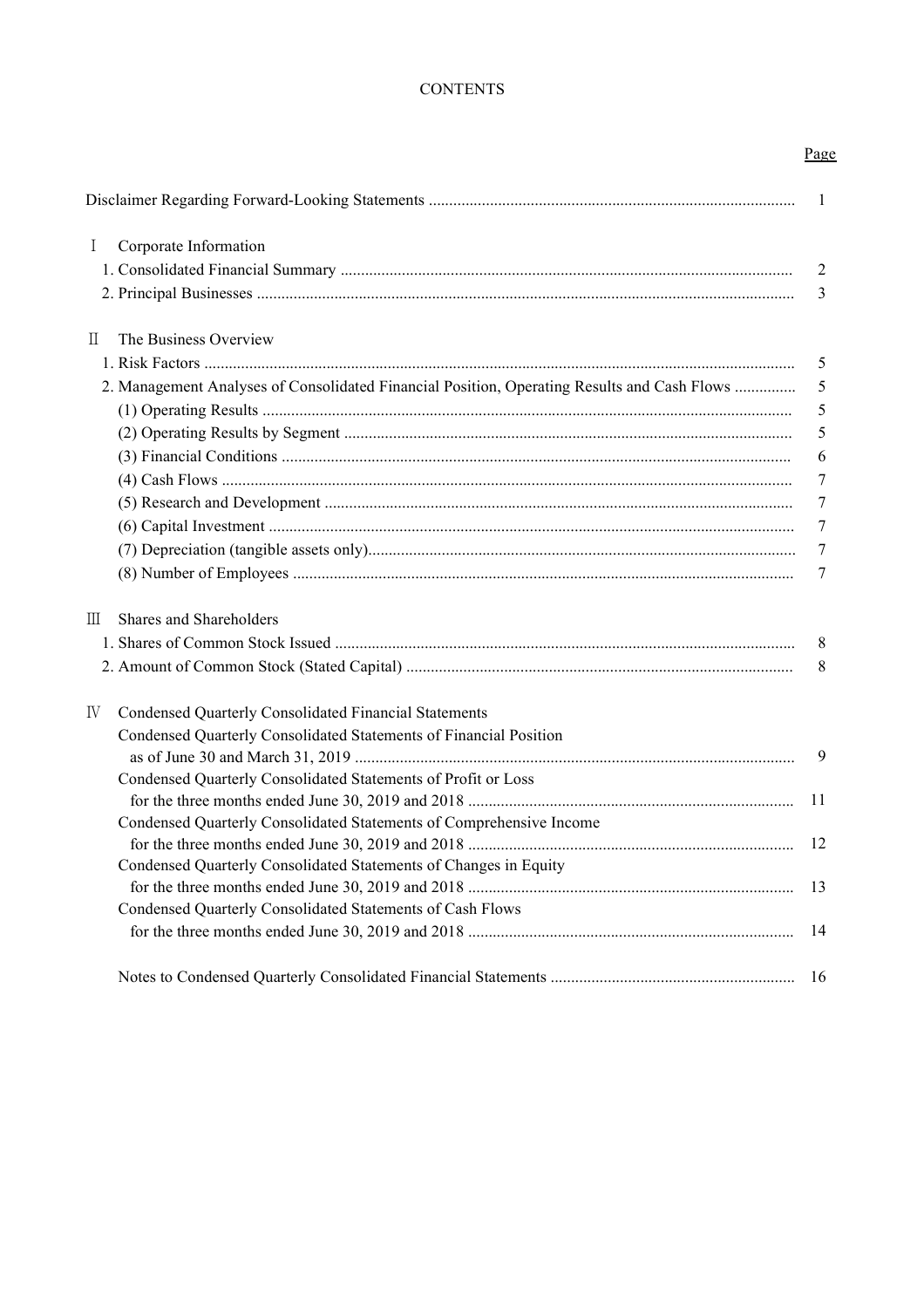## **CONTENTS**

|--|

|                                                                                             | $\overline{1}$ |
|---------------------------------------------------------------------------------------------|----------------|
| Corporate Information<br>$\bf{I}$                                                           |                |
|                                                                                             | $\overline{2}$ |
|                                                                                             | 3              |
| The Business Overview<br>H                                                                  |                |
|                                                                                             | 5              |
| 2. Management Analyses of Consolidated Financial Position, Operating Results and Cash Flows | 5              |
|                                                                                             | 5              |
|                                                                                             | 5              |
|                                                                                             | 6              |
|                                                                                             | 7              |
|                                                                                             | 7              |
|                                                                                             | 7              |
|                                                                                             | $\overline{7}$ |
|                                                                                             | 7              |
| Shares and Shareholders<br>$\mathbb{H}$                                                     |                |
|                                                                                             | 8              |
|                                                                                             | 8              |
| IV<br>Condensed Quarterly Consolidated Financial Statements                                 |                |
| Condensed Quarterly Consolidated Statements of Financial Position                           | 9              |
| Condensed Quarterly Consolidated Statements of Profit or Loss                               | 11             |
| Condensed Quarterly Consolidated Statements of Comprehensive Income                         |                |
|                                                                                             | 12             |
| Condensed Quarterly Consolidated Statements of Changes in Equity                            |                |
|                                                                                             | 13             |
| Condensed Quarterly Consolidated Statements of Cash Flows                                   | 14             |
|                                                                                             | 16             |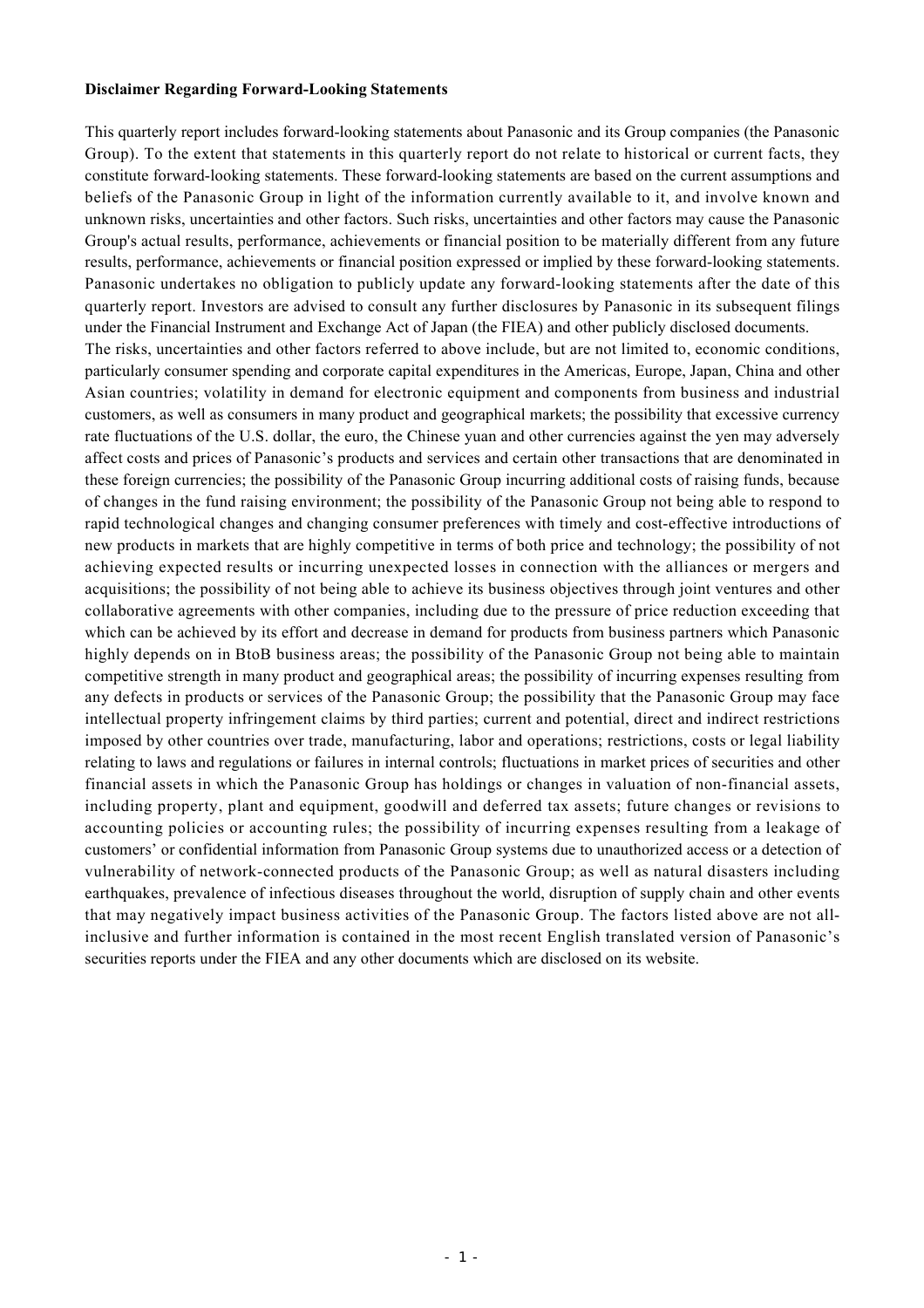#### **Disclaimer Regarding Forward-Looking Statements**

This quarterly report includes forward-looking statements about Panasonic and its Group companies (the Panasonic Group). To the extent that statements in this quarterly report do not relate to historical or current facts, they constitute forward-looking statements. These forward-looking statements are based on the current assumptions and beliefs of the Panasonic Group in light of the information currently available to it, and involve known and unknown risks, uncertainties and other factors. Such risks, uncertainties and other factors may cause the Panasonic Group's actual results, performance, achievements or financial position to be materially different from any future results, performance, achievements or financial position expressed or implied by these forward-looking statements. Panasonic undertakes no obligation to publicly update any forward-looking statements after the date of this quarterly report. Investors are advised to consult any further disclosures by Panasonic in its subsequent filings under the Financial Instrument and Exchange Act of Japan (the FIEA) and other publicly disclosed documents. The risks, uncertainties and other factors referred to above include, but are not limited to, economic conditions, particularly consumer spending and corporate capital expenditures in the Americas, Europe, Japan, China and other Asian countries; volatility in demand for electronic equipment and components from business and industrial customers, as well as consumers in many product and geographical markets; the possibility that excessive currency rate fluctuations of the U.S. dollar, the euro, the Chinese yuan and other currencies against the yen may adversely affect costs and prices of Panasonic's products and services and certain other transactions that are denominated in these foreign currencies; the possibility of the Panasonic Group incurring additional costs of raising funds, because of changes in the fund raising environment; the possibility of the Panasonic Group not being able to respond to rapid technological changes and changing consumer preferences with timely and cost-effective introductions of new products in markets that are highly competitive in terms of both price and technology; the possibility of not achieving expected results or incurring unexpected losses in connection with the alliances or mergers and acquisitions; the possibility of not being able to achieve its business objectives through joint ventures and other collaborative agreements with other companies, including due to the pressure of price reduction exceeding that which can be achieved by its effort and decrease in demand for products from business partners which Panasonic highly depends on in BtoB business areas; the possibility of the Panasonic Group not being able to maintain competitive strength in many product and geographical areas; the possibility of incurring expenses resulting from any defects in products or services of the Panasonic Group; the possibility that the Panasonic Group may face intellectual property infringement claims by third parties; current and potential, direct and indirect restrictions imposed by other countries over trade, manufacturing, labor and operations; restrictions, costs or legal liability relating to laws and regulations or failures in internal controls; fluctuations in market prices of securities and other financial assets in which the Panasonic Group has holdings or changes in valuation of non-financial assets, including property, plant and equipment, goodwill and deferred tax assets; future changes or revisions to accounting policies or accounting rules; the possibility of incurring expenses resulting from a leakage of customers' or confidential information from Panasonic Group systems due to unauthorized access or a detection of vulnerability of network-connected products of the Panasonic Group; as well as natural disasters including earthquakes, prevalence of infectious diseases throughout the world, disruption of supply chain and other events that may negatively impact business activities of the Panasonic Group. The factors listed above are not allinclusive and further information is contained in the most recent English translated version of Panasonic's securities reports under the FIEA and any other documents which are disclosed on its website.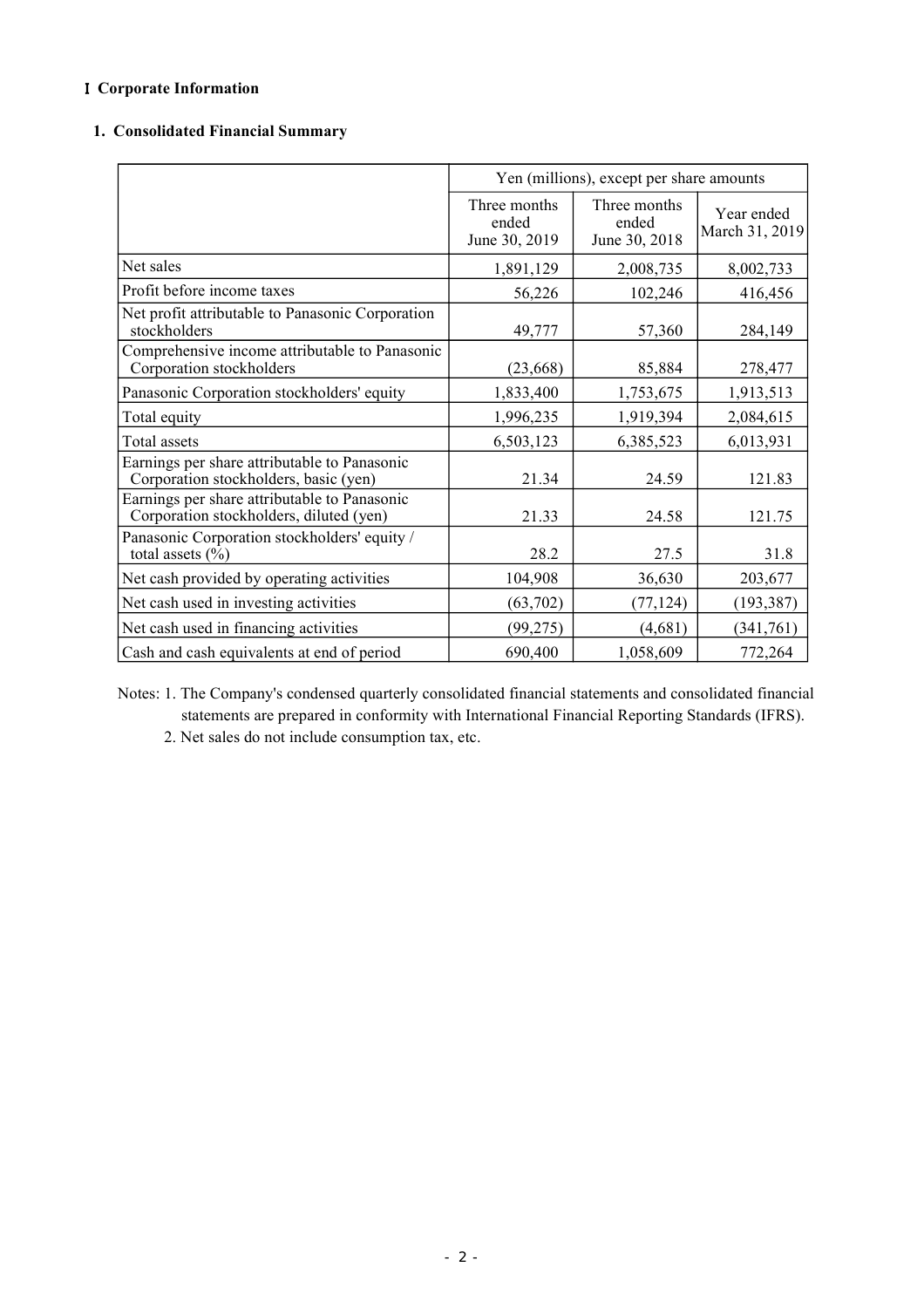## I **Corporate Information**

### **1. Consolidated Financial Summary**

|                                                                                         | Yen (millions), except per share amounts |                                        |                              |  |
|-----------------------------------------------------------------------------------------|------------------------------------------|----------------------------------------|------------------------------|--|
|                                                                                         | Three months<br>ended<br>June 30, 2019   | Three months<br>ended<br>June 30, 2018 | Year ended<br>March 31, 2019 |  |
| Net sales                                                                               | 1,891,129                                | 2,008,735                              | 8,002,733                    |  |
| Profit before income taxes                                                              | 56,226                                   | 102,246                                | 416,456                      |  |
| Net profit attributable to Panasonic Corporation<br>stockholders                        | 49,777                                   | 57,360                                 | 284,149                      |  |
| Comprehensive income attributable to Panasonic<br>Corporation stockholders              | (23, 668)                                | 85,884                                 | 278,477                      |  |
| Panasonic Corporation stockholders' equity                                              | 1,833,400                                | 1,753,675                              | 1,913,513                    |  |
| Total equity                                                                            | 1,996,235                                | 1,919,394                              | 2,084,615                    |  |
| Total assets                                                                            | 6,503,123                                | 6,385,523                              | 6,013,931                    |  |
| Earnings per share attributable to Panasonic<br>Corporation stockholders, basic (yen)   | 21.34                                    | 24.59                                  | 121.83                       |  |
| Earnings per share attributable to Panasonic<br>Corporation stockholders, diluted (yen) | 21.33                                    | 24.58                                  | 121.75                       |  |
| Panasonic Corporation stockholders' equity /<br>total assets $(\% )$                    | 28.2                                     | 27.5                                   | 31.8                         |  |
| Net cash provided by operating activities                                               | 104,908                                  | 36,630                                 | 203,677                      |  |
| Net cash used in investing activities                                                   | (63, 702)                                | (77, 124)                              | (193, 387)                   |  |
| Net cash used in financing activities                                                   | (99, 275)                                | (4,681)                                | (341,761)                    |  |
| Cash and cash equivalents at end of period                                              | 690,400                                  | 1,058,609                              | 772,264                      |  |

Notes: 1. The Company's condensed quarterly consolidated financial statements and consolidated financial statements are prepared in conformity with International Financial Reporting Standards (IFRS).

2. Net sales do not include consumption tax, etc.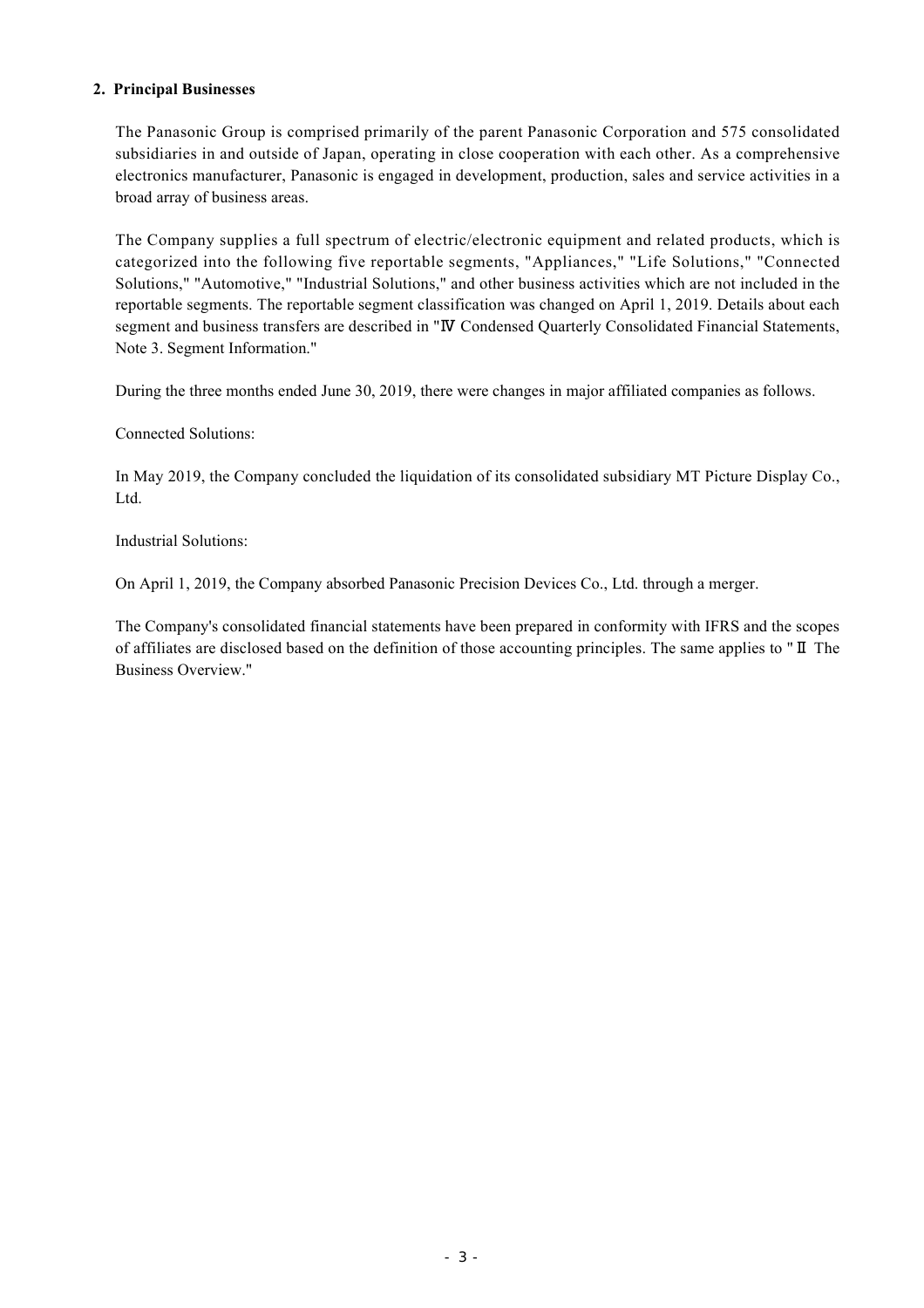### **2. Principal Businesses**

The Panasonic Group is comprised primarily of the parent Panasonic Corporation and 575 consolidated subsidiaries in and outside of Japan, operating in close cooperation with each other. As a comprehensive electronics manufacturer, Panasonic is engaged in development, production, sales and service activities in a broad array of business areas.

The Company supplies a full spectrum of electric/electronic equipment and related products, which is categorized into the following five reportable segments, "Appliances," "Life Solutions," "Connected Solutions," "Automotive," "Industrial Solutions," and other business activities which are not included in the reportable segments. The reportable segment classification was changed on April 1, 2019. Details about each segment and business transfers are described in "Ⅳ Condensed Quarterly Consolidated Financial Statements, Note 3. Segment Information."

During the three months ended June 30, 2019, there were changes in major affiliated companies as follows.

Connected Solutions:

In May 2019, the Company concluded the liquidation of its consolidated subsidiary MT Picture Display Co., Ltd.

Industrial Solutions:

On April 1, 2019, the Company absorbed Panasonic Precision Devices Co., Ltd. through a merger.

The Company's consolidated financial statements have been prepared in conformity with IFRS and the scopes of affiliates are disclosed based on the definition of those accounting principles. The same applies to "Ⅱ The Business Overview."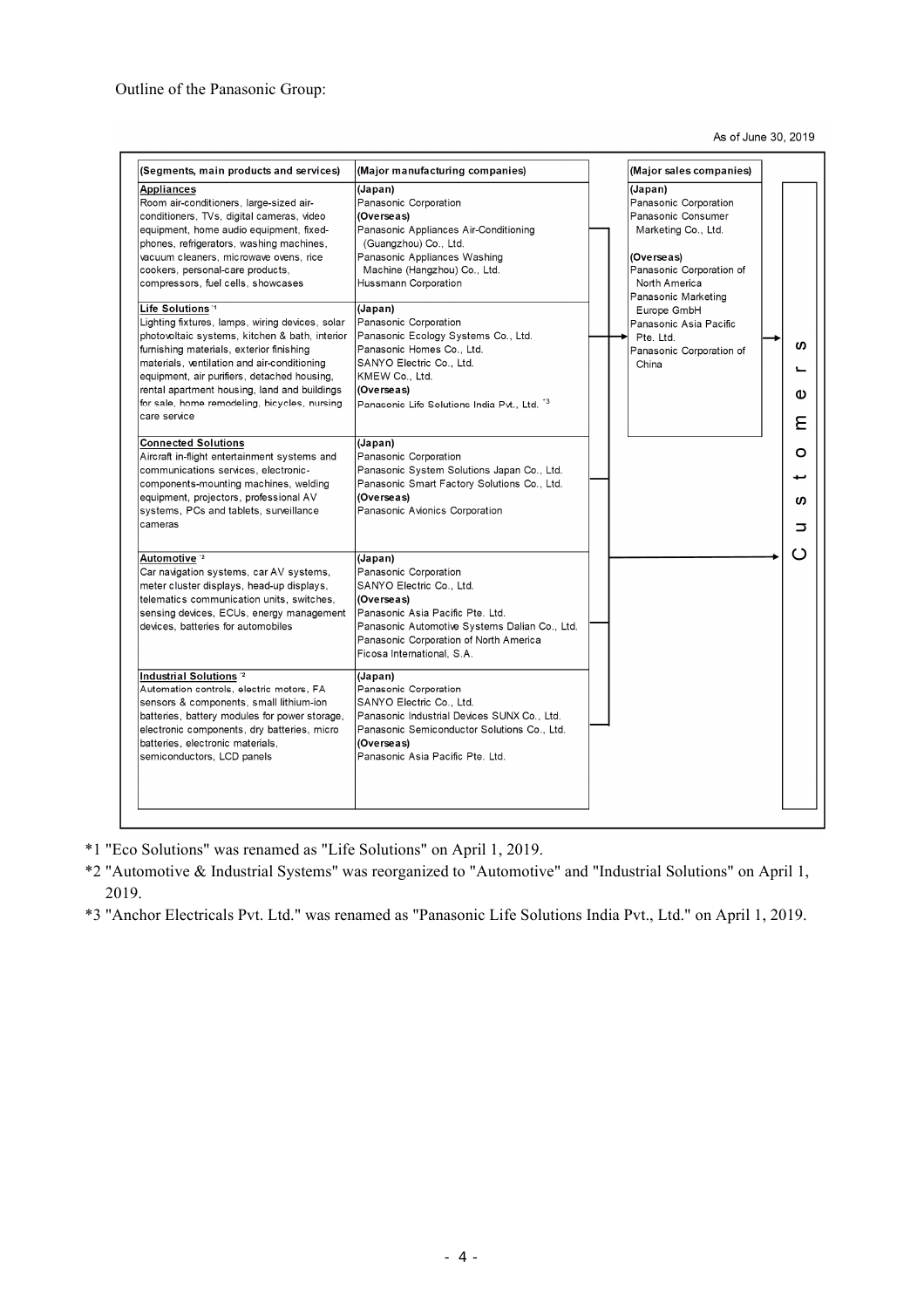As of June 30, 2019

| (Segments, main products and services)                                                                                                                                                                                                                                                                                                                                                                                                                                                                                                                                                                                                                                                                                                                                                                                                                                                                                                                                    | (Major manufacturing companies)                                                                                                                                                                                                                                                                                                                                                                                                                                                                                                                                                                               | (Major sales companies)                                                                                                                                                                                                                                    |                            |
|---------------------------------------------------------------------------------------------------------------------------------------------------------------------------------------------------------------------------------------------------------------------------------------------------------------------------------------------------------------------------------------------------------------------------------------------------------------------------------------------------------------------------------------------------------------------------------------------------------------------------------------------------------------------------------------------------------------------------------------------------------------------------------------------------------------------------------------------------------------------------------------------------------------------------------------------------------------------------|---------------------------------------------------------------------------------------------------------------------------------------------------------------------------------------------------------------------------------------------------------------------------------------------------------------------------------------------------------------------------------------------------------------------------------------------------------------------------------------------------------------------------------------------------------------------------------------------------------------|------------------------------------------------------------------------------------------------------------------------------------------------------------------------------------------------------------------------------------------------------------|----------------------------|
| Appliances<br>Room air-conditioners, large-sized air-<br>conditioners, TVs, digital cameras, video<br>equipment, home audio equipment, fixed-<br>phones, refrigerators, washing machines,<br>vacuum cleaners, microwave ovens, rice<br>cookers, personal-care products,<br>compressors, fuel cells, showcases<br>Life Solutions <sup>1</sup><br>Lighting fixtures, lamps, wiring devices, solar<br>photovoltaic systems, kitchen & bath, interior<br>furnishing materials, exterior finishing<br>materials, ventilation and air-conditioning<br>equipment, air purifiers, detached housing,<br>rental apartment housing, land and buildings<br>for sale, home remodeling, bicycles, nursing<br>care service<br><b>Connected Solutions</b><br>Aircraft in-flight entertainment systems and<br>communications services, electronic-<br>components-mounting machines, welding<br>equipment, projectors, professional AV<br>systems, PCs and tablets, surveillance<br>cameras | (Japan)<br>Panasonic Corporation<br>(Overseas)<br>Panasonic Appliances Air-Conditioning<br>(Guangzhou) Co., Ltd.<br>Panasonic Appliances Washing<br>Machine (Hangzhou) Co., Ltd.<br>Hussmann Corporation<br>(Japan)<br>Panasonic Corporation<br>Panasonic Ecology Systems Co., Ltd.<br>Panasonic Homes Co., Ltd.<br>SANYO Electric Co., Ltd.<br>KMEW Co., Ltd.<br>(Overseas)<br>Panasonic Life Solutions India Pvt., Ltd. "3<br>(Japan)<br>Panasonic Corporation<br>Panasonic System Solutions Japan Co., Ltd.<br>Panasonic Smart Factory Solutions Co., Ltd.<br>(Overseas)<br>Panasonic Avionics Corporation | (Japan)<br>Panasonic Corporation<br>Panasonic Consumer<br>Marketing Co., Ltd.<br>(Overseas)<br>Panasonic Corporation of<br>North America<br>Panasonic Marketing<br>Europe GmbH<br>Panasonic Asia Pacific<br>Pte. Ltd.<br>Panasonic Corporation of<br>China | ഗ<br>Φ<br>٤<br>O<br>ഗ<br>⊃ |
| Automotive <sup>2</sup><br>Car navigation systems, car AV systems,<br>meter cluster displays, head-up displays,<br>telematics communication units, switches,<br>sensing devices, ECUs, energy management<br>devices, batteries for automobiles<br>Industrial Solutions <sup>12</sup><br>Automation controls, electric motors, FA<br>sensors & components, small lithium-ion<br>batteries, battery modules for power storage,<br>electronic components, dry batteries, micro<br>batteries, electronic materials,<br>semiconductors, LCD panels                                                                                                                                                                                                                                                                                                                                                                                                                             | (Japan)<br>Panasonic Corporation<br>SANYO Electric Co., Ltd.<br>(Overseas)<br>Panasonic Asia Pacific Pte. Ltd.<br>Panasonic Automotive Systems Dalian Co., Ltd.<br>Panasonic Corporation of North America<br>Ficosa International, S.A.<br>(Japan)<br>Panasonic Corporation<br>SANYO Electric Co., Ltd.<br>Panasonic Industrial Devices SUNX Co., Ltd.<br>Panasonic Semiconductor Solutions Co., Ltd.<br>(Overseas)<br>Panasonic Asia Pacific Pte. Ltd.                                                                                                                                                       |                                                                                                                                                                                                                                                            | ເາ                         |

- \*1 "Eco Solutions" was renamed as "Life Solutions" on April 1, 2019.
- \*2 "Automotive & Industrial Systems" was reorganized to "Automotive" and "Industrial Solutions" on April 1, 2019.
- \*3 "Anchor Electricals Pvt. Ltd." was renamed as "Panasonic Life Solutions India Pvt., Ltd." on April 1, 2019.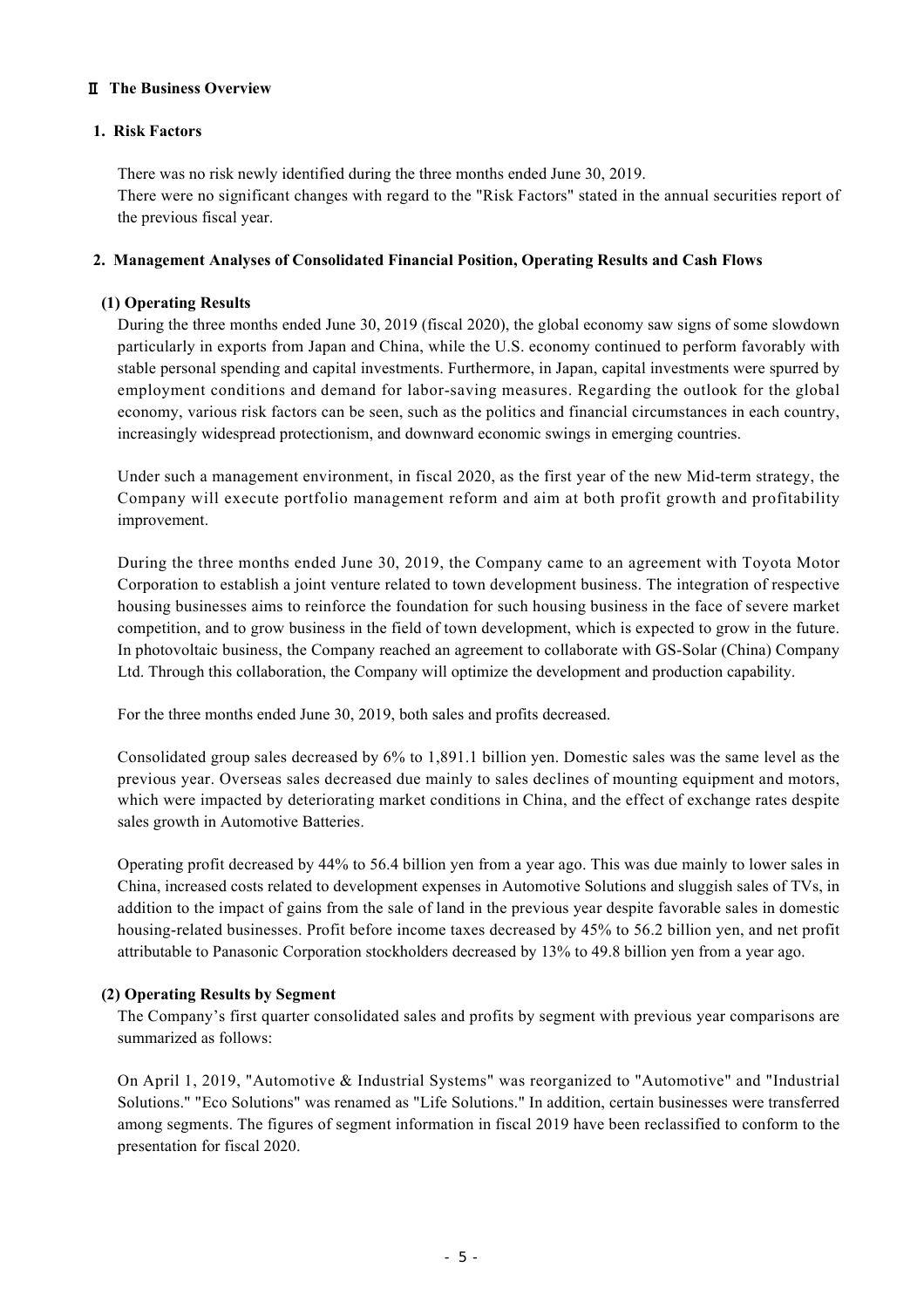### Ⅱ **The Business Overview**

### **1. Risk Factors**

There was no risk newly identified during the three months ended June 30, 2019.

There were no significant changes with regard to the "Risk Factors" stated in the annual securities report of the previous fiscal year.

### **2. Management Analyses of Consolidated Financial Position, Operating Results and Cash Flows**

### **(1) Operating Results**

During the three months ended June 30, 2019 (fiscal 2020), the global economy saw signs of some slowdown particularly in exports from Japan and China, while the U.S. economy continued to perform favorably with stable personal spending and capital investments. Furthermore, in Japan, capital investments were spurred by employment conditions and demand for labor-saving measures. Regarding the outlook for the global economy, various risk factors can be seen, such as the politics and financial circumstances in each country, increasingly widespread protectionism, and downward economic swings in emerging countries.

Under such a management environment, in fiscal 2020, as the first year of the new Mid-term strategy, the Company will execute portfolio management reform and aim at both profit growth and profitability improvement.

During the three months ended June 30, 2019, the Company came to an agreement with Toyota Motor Corporation to establish a joint venture related to town development business. The integration of respective housing businesses aims to reinforce the foundation for such housing business in the face of severe market competition, and to grow business in the field of town development, which is expected to grow in the future. In photovoltaic business, the Company reached an agreement to collaborate with GS-Solar (China) Company Ltd. Through this collaboration, the Company will optimize the development and production capability.

For the three months ended June 30, 2019, both sales and profits decreased.

Consolidated group sales decreased by 6% to 1,891.1 billion yen. Domestic sales was the same level as the previous year. Overseas sales decreased due mainly to sales declines of mounting equipment and motors, which were impacted by deteriorating market conditions in China, and the effect of exchange rates despite sales growth in Automotive Batteries.

Operating profit decreased by 44% to 56.4 billion yen from a year ago. This was due mainly to lower sales in China, increased costs related to development expenses in Automotive Solutions and sluggish sales of TVs, in addition to the impact of gains from the sale of land in the previous year despite favorable sales in domestic housing-related businesses. Profit before income taxes decreased by 45% to 56.2 billion yen, and net profit attributable to Panasonic Corporation stockholders decreased by 13% to 49.8 billion yen from a year ago.

### **(2) Operating Results by Segment**

The Company's first quarter consolidated sales and profits by segment with previous year comparisons are summarized as follows:

On April 1, 2019, "Automotive & Industrial Systems" was reorganized to "Automotive" and "Industrial Solutions." "Eco Solutions" was renamed as "Life Solutions." In addition, certain businesses were transferred among segments. The figures of segment information in fiscal 2019 have been reclassified to conform to the presentation for fiscal 2020.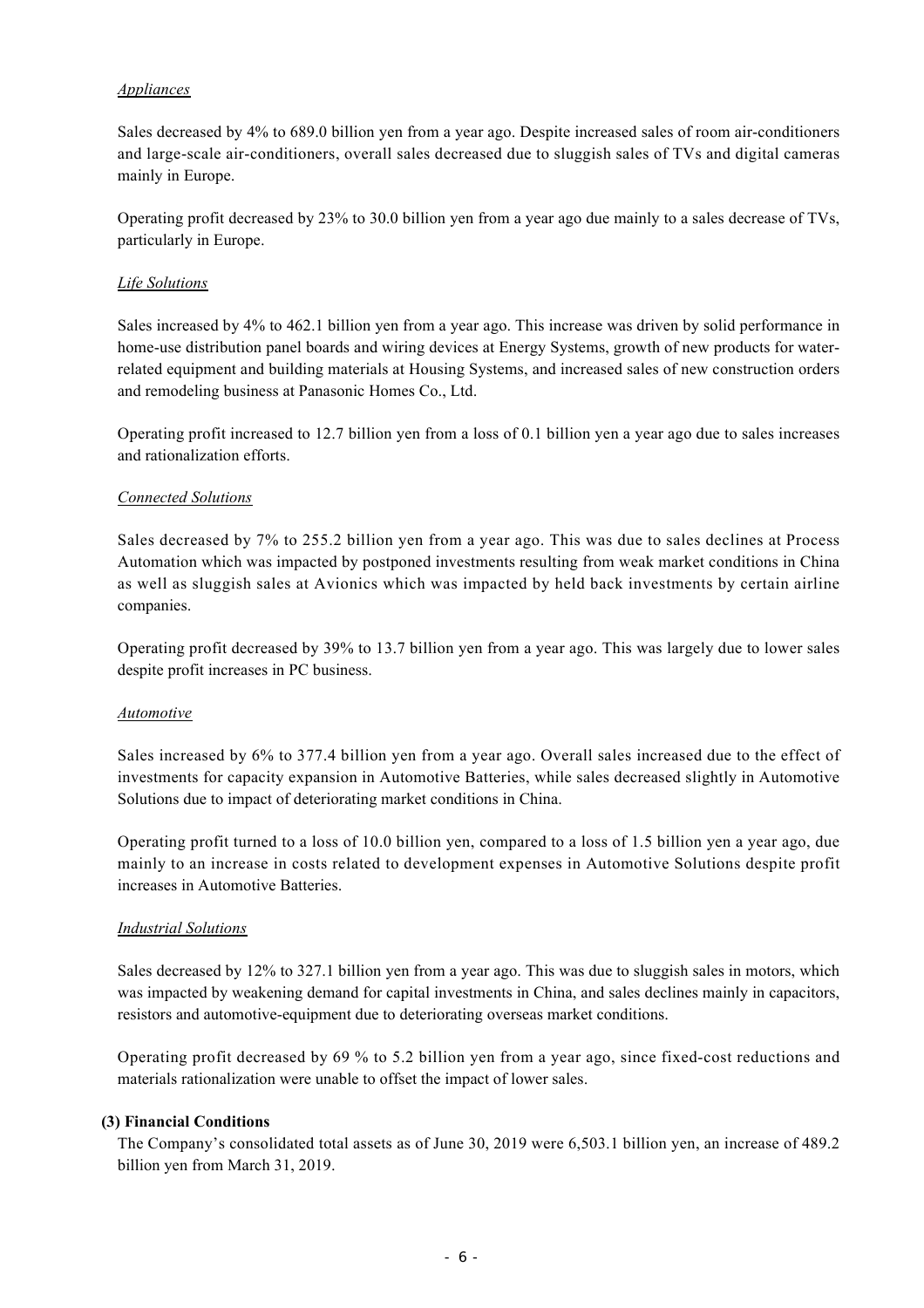### *Appliances*

Sales decreased by 4% to 689.0 billion yen from a year ago. Despite increased sales of room air-conditioners and large-scale air-conditioners, overall sales decreased due to sluggish sales of TVs and digital cameras mainly in Europe.

Operating profit decreased by 23% to 30.0 billion yen from a year ago due mainly to a sales decrease of TVs, particularly in Europe.

### *Life Solutions*

Sales increased by 4% to 462.1 billion yen from a year ago. This increase was driven by solid performance in home-use distribution panel boards and wiring devices at Energy Systems, growth of new products for waterrelated equipment and building materials at Housing Systems, and increased sales of new construction orders and remodeling business at Panasonic Homes Co., Ltd.

Operating profit increased to 12.7 billion yen from a loss of 0.1 billion yen a year ago due to sales increases and rationalization efforts.

### *Connected Solutions*

Sales decreased by 7% to 255.2 billion yen from a year ago. This was due to sales declines at Process Automation which was impacted by postponed investments resulting from weak market conditions in China as well as sluggish sales at Avionics which was impacted by held back investments by certain airline companies.

Operating profit decreased by 39% to 13.7 billion yen from a year ago. This was largely due to lower sales despite profit increases in PC business.

### *Automotive*

Sales increased by 6% to 377.4 billion yen from a year ago. Overall sales increased due to the effect of investments for capacity expansion in Automotive Batteries, while sales decreased slightly in Automotive Solutions due to impact of deteriorating market conditions in China.

Operating profit turned to a loss of 10.0 billion yen, compared to a loss of 1.5 billion yen a year ago, due mainly to an increase in costs related to development expenses in Automotive Solutions despite profit increases in Automotive Batteries.

### *Industrial Solutions*

Sales decreased by 12% to 327.1 billion yen from a year ago. This was due to sluggish sales in motors, which was impacted by weakening demand for capital investments in China, and sales declines mainly in capacitors, resistors and automotive-equipment due to deteriorating overseas market conditions.

Operating profit decreased by 69 % to 5.2 billion yen from a year ago, since fixed-cost reductions and materials rationalization were unable to offset the impact of lower sales.

### **(3) Financial Conditions**

The Company's consolidated total assets as of June 30, 2019 were 6,503.1 billion yen, an increase of 489.2 billion yen from March 31, 2019.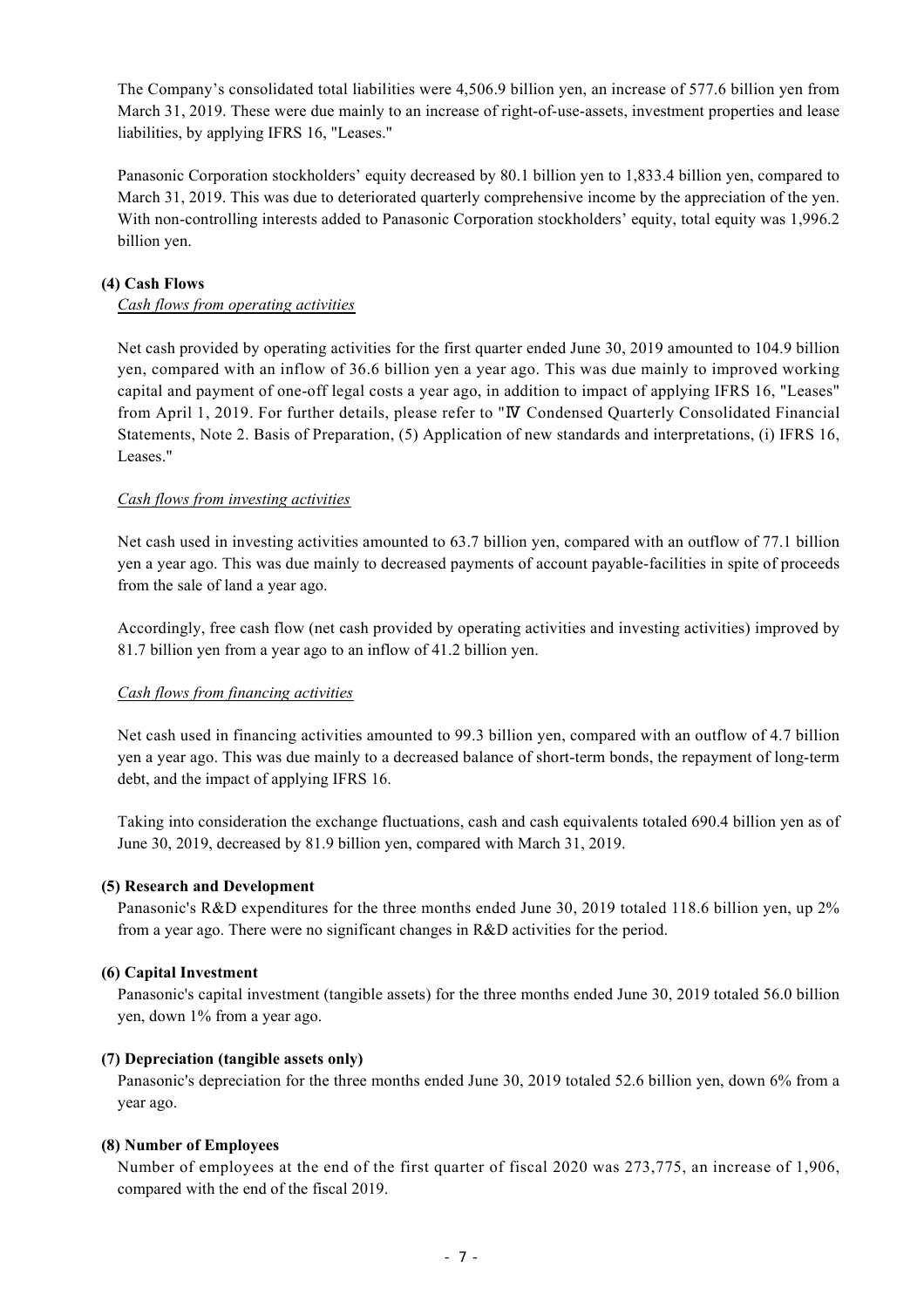The Company's consolidated total liabilities were 4,506.9 billion yen, an increase of 577.6 billion yen from March 31, 2019. These were due mainly to an increase of right-of-use-assets, investment properties and lease liabilities, by applying IFRS 16, "Leases."

Panasonic Corporation stockholders' equity decreased by 80.1 billion yen to 1,833.4 billion yen, compared to March 31, 2019. This was due to deteriorated quarterly comprehensive income by the appreciation of the yen. With non-controlling interests added to Panasonic Corporation stockholders' equity, total equity was 1,996.2 billion yen.

### **(4) Cash Flows**

### *Cash flows from operating activities*

Net cash provided by operating activities for the first quarter ended June 30, 2019 amounted to 104.9 billion yen, compared with an inflow of 36.6 billion yen a year ago. This was due mainly to improved working capital and payment of one-off legal costs a year ago, in addition to impact of applying IFRS 16, "Leases" from April 1, 2019. For further details, please refer to "Ⅳ Condensed Quarterly Consolidated Financial Statements, Note 2. Basis of Preparation, (5) Application of new standards and interpretations, (i) IFRS 16, Leases."

### *Cash flows from investing activities*

Net cash used in investing activities amounted to 63.7 billion yen, compared with an outflow of 77.1 billion yen a year ago. This was due mainly to decreased payments of account payable-facilities in spite of proceeds from the sale of land a year ago.

Accordingly, free cash flow (net cash provided by operating activities and investing activities) improved by 81.7 billion yen from a year ago to an inflow of 41.2 billion yen.

### *Cash flows from financing activities*

Net cash used in financing activities amounted to 99.3 billion yen, compared with an outflow of 4.7 billion yen a year ago. This was due mainly to a decreased balance of short-term bonds, the repayment of long-term debt, and the impact of applying IFRS 16.

Taking into consideration the exchange fluctuations, cash and cash equivalents totaled 690.4 billion yen as of June 30, 2019, decreased by 81.9 billion yen, compared with March 31, 2019.

### **(5) Research and Development**

Panasonic's R&D expenditures for the three months ended June 30, 2019 totaled 118.6 billion yen, up 2% from a year ago. There were no significant changes in R&D activities for the period.

### **(6) Capital Investment**

Panasonic's capital investment (tangible assets) for the three months ended June 30, 2019 totaled 56.0 billion yen, down 1% from a year ago.

### **(7) Depreciation (tangible assets only)**

Panasonic's depreciation for the three months ended June 30, 2019 totaled 52.6 billion yen, down 6% from a year ago.

### **(8) Number of Employees**

Number of employees at the end of the first quarter of fiscal 2020 was 273,775, an increase of 1,906, compared with the end of the fiscal 2019.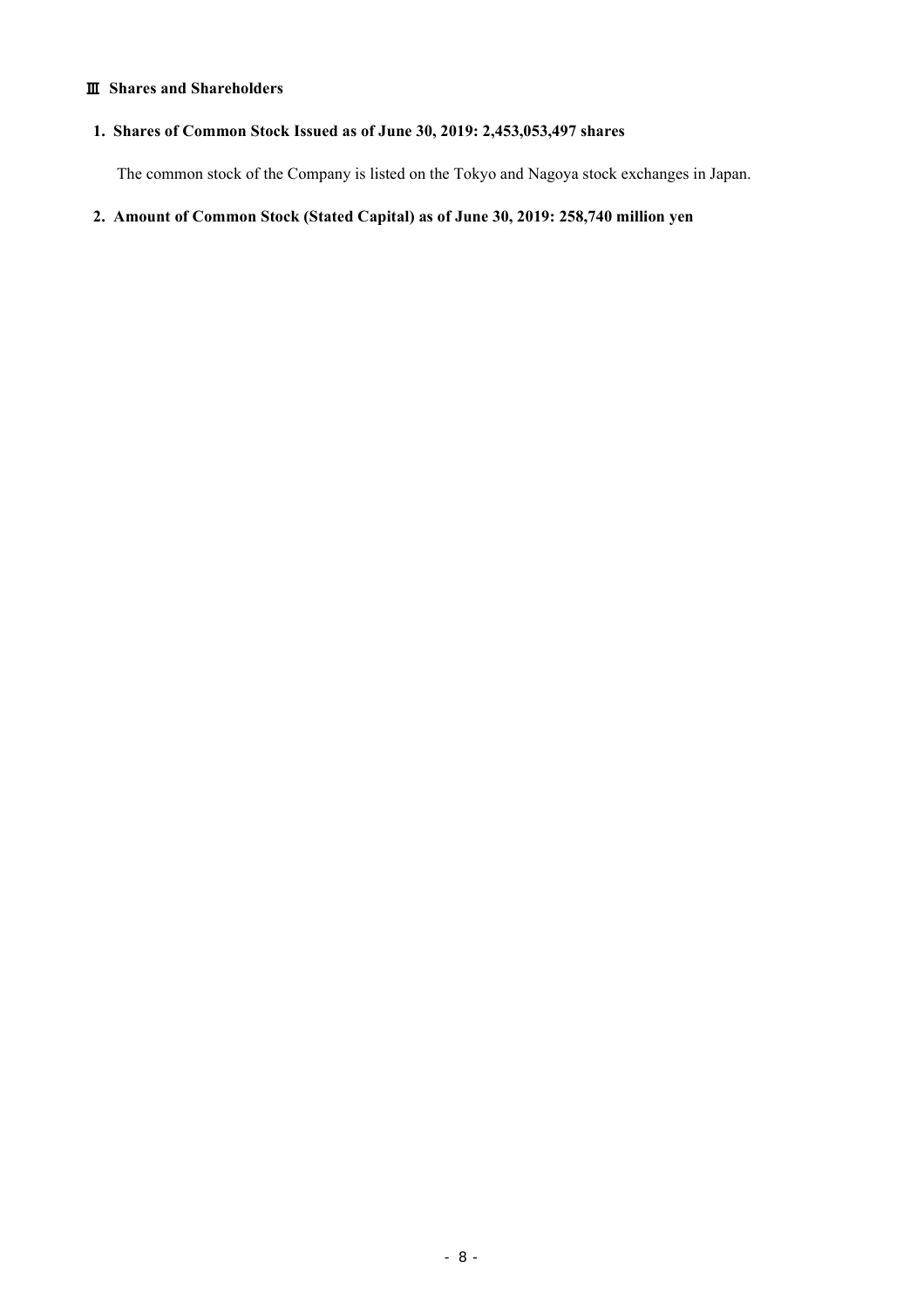### Ⅲ **Shares and Shareholders**

# **1. Shares of Common Stock Issued as of June 30, 2019: 2,453,053,497 shares**

The common stock of the Company is listed on the Tokyo and Nagoya stock exchanges in Japan.

**2. Amount of Common Stock (Stated Capital) as of June 30, 2019: 258,740 million yen**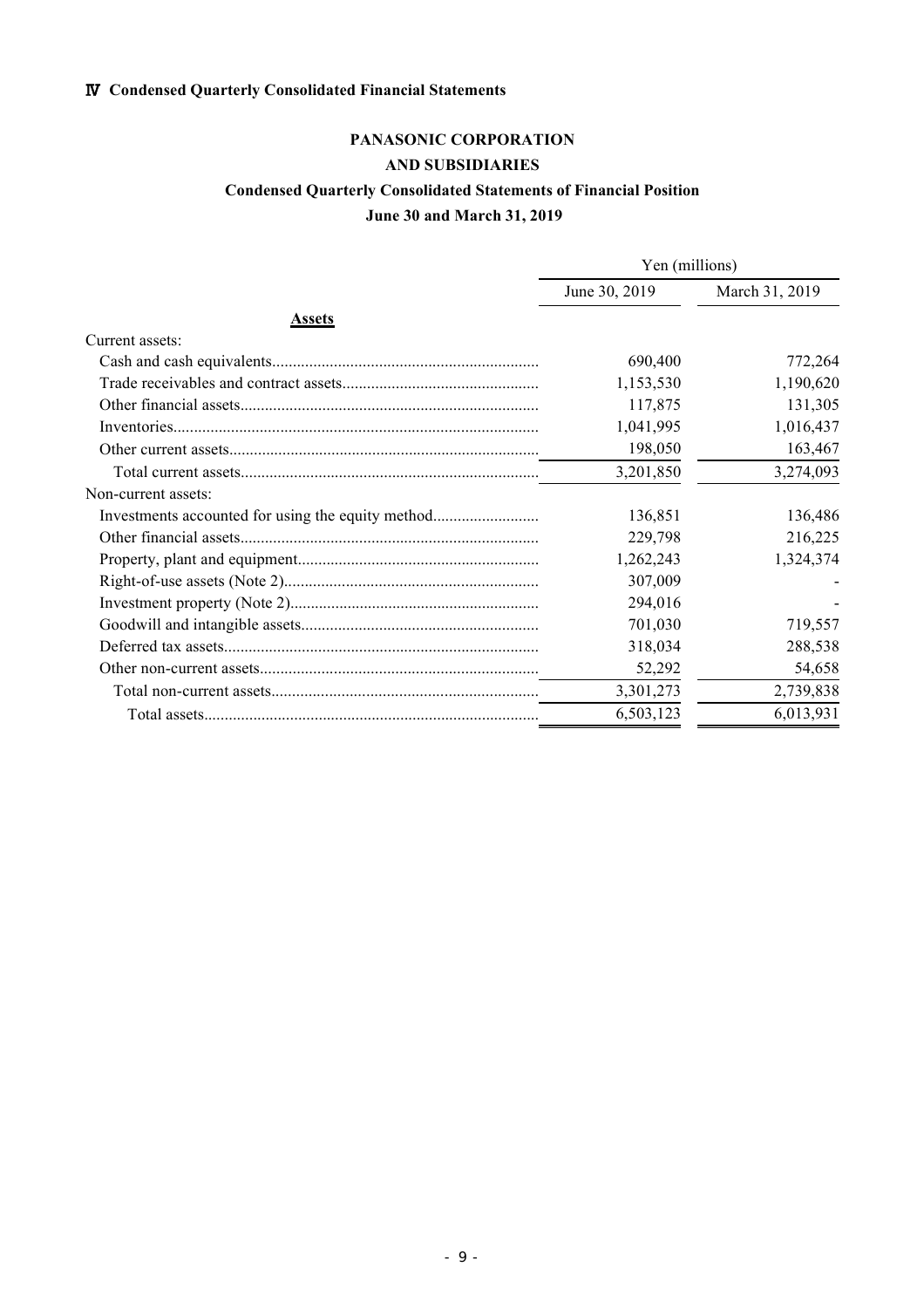# Ⅳ **Condensed Quarterly Consolidated Financial Statements**

# **PANASONIC CORPORATION**

# **AND SUBSIDIARIES**

## **Condensed Quarterly Consolidated Statements of Financial Position**

## **June 30 and March 31, 2019**

|                     | Yen (millions) |                |  |
|---------------------|----------------|----------------|--|
|                     | June 30, 2019  | March 31, 2019 |  |
| <b>Assets</b>       |                |                |  |
| Current assets:     |                |                |  |
|                     | 690,400        | 772,264        |  |
|                     | 1,153,530      | 1,190,620      |  |
|                     | 117,875        | 131,305        |  |
|                     | 1,041,995      | 1,016,437      |  |
|                     | 198,050        | 163,467        |  |
|                     | 3,201,850      | 3,274,093      |  |
| Non-current assets: |                |                |  |
|                     | 136,851        | 136,486        |  |
|                     | 229,798        | 216,225        |  |
|                     | 1,262,243      | 1,324,374      |  |
|                     | 307,009        |                |  |
|                     | 294,016        |                |  |
|                     | 701,030        | 719,557        |  |
|                     | 318,034        | 288,538        |  |
|                     | 52,292         | 54,658         |  |
|                     | 3,301,273      | 2,739,838      |  |
|                     | 6,503,123      | 6,013,931      |  |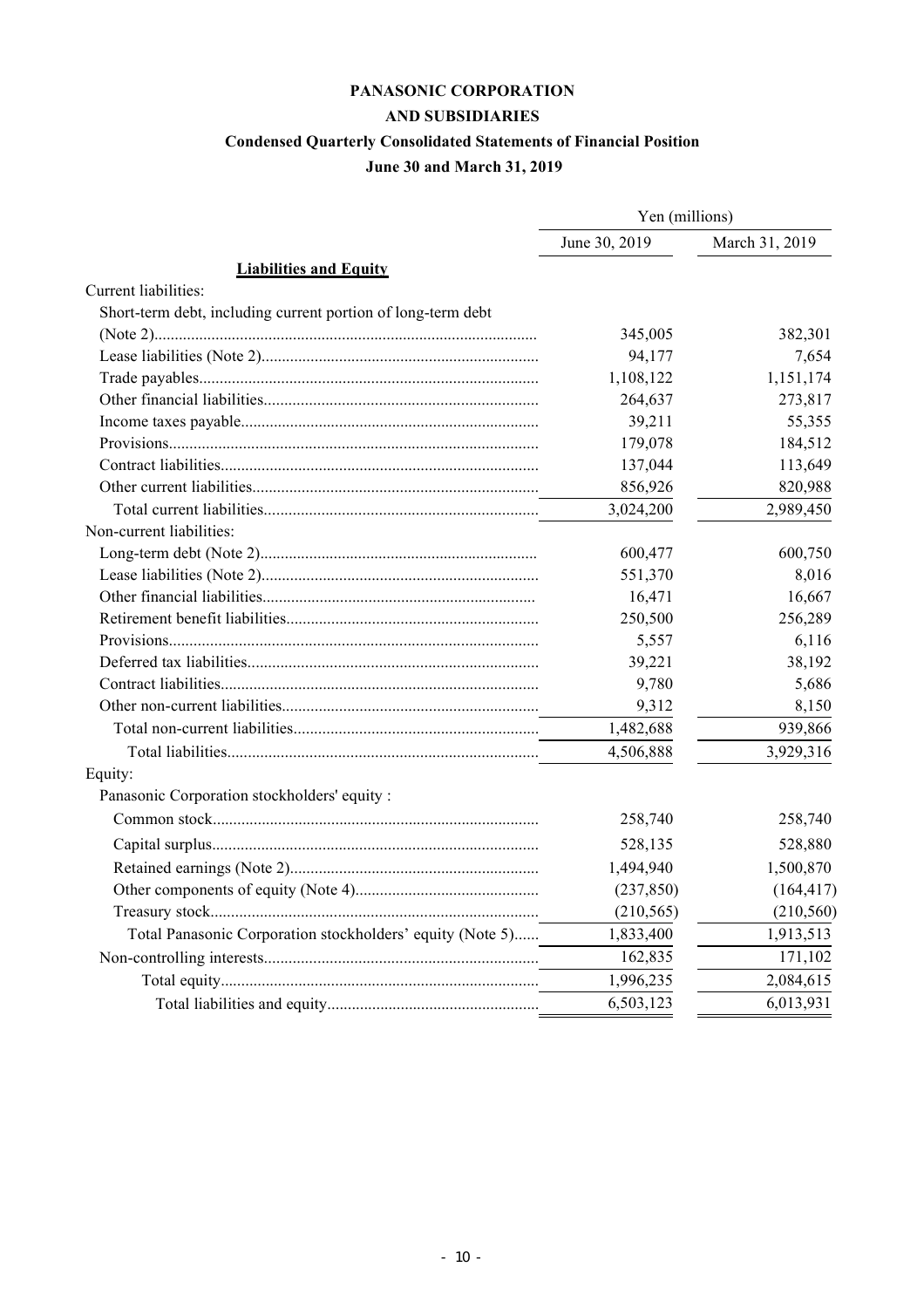# **PANASONIC CORPORATION**

# **AND SUBSIDIARIES**

# **Condensed Quarterly Consolidated Statements of Financial Position**

# **June 30 and March 31, 2019**

|                                                              | Yen (millions) |                |  |
|--------------------------------------------------------------|----------------|----------------|--|
|                                                              | June 30, 2019  | March 31, 2019 |  |
| <b>Liabilities and Equity</b>                                |                |                |  |
| Current liabilities:                                         |                |                |  |
| Short-term debt, including current portion of long-term debt |                |                |  |
|                                                              | 345,005        | 382,301        |  |
|                                                              | 94,177         | 7,654          |  |
|                                                              | 1,108,122      | 1,151,174      |  |
|                                                              | 264,637        | 273,817        |  |
|                                                              | 39,211         | 55,355         |  |
|                                                              | 179,078        | 184,512        |  |
|                                                              | 137,044        | 113,649        |  |
|                                                              | 856,926        | 820,988        |  |
|                                                              | 3,024,200      | 2,989,450      |  |
| Non-current liabilities:                                     |                |                |  |
|                                                              | 600,477        | 600,750        |  |
|                                                              | 551,370        | 8,016          |  |
|                                                              | 16,471         | 16,667         |  |
|                                                              | 250,500        | 256,289        |  |
|                                                              | 5,557          | 6,116          |  |
|                                                              | 39,221         | 38,192         |  |
|                                                              | 9,780          | 5,686          |  |
|                                                              | 9,312          | 8,150          |  |
|                                                              | 1,482,688      | 939,866        |  |
|                                                              | 4,506,888      | 3,929,316      |  |
| Equity:                                                      |                |                |  |
| Panasonic Corporation stockholders' equity :                 |                |                |  |
|                                                              | 258,740        | 258,740        |  |
|                                                              | 528,135        | 528,880        |  |
|                                                              | 1,494,940      | 1,500,870      |  |
|                                                              | (237, 850)     | (164, 417)     |  |
|                                                              | (210, 565)     | (210, 560)     |  |
| Total Panasonic Corporation stockholders' equity (Note 5)    | 1,833,400      | 1,913,513      |  |
|                                                              | 162,835        | 171,102        |  |
|                                                              | 1,996,235      | 2,084,615      |  |
|                                                              | 6,503,123      | 6,013,931      |  |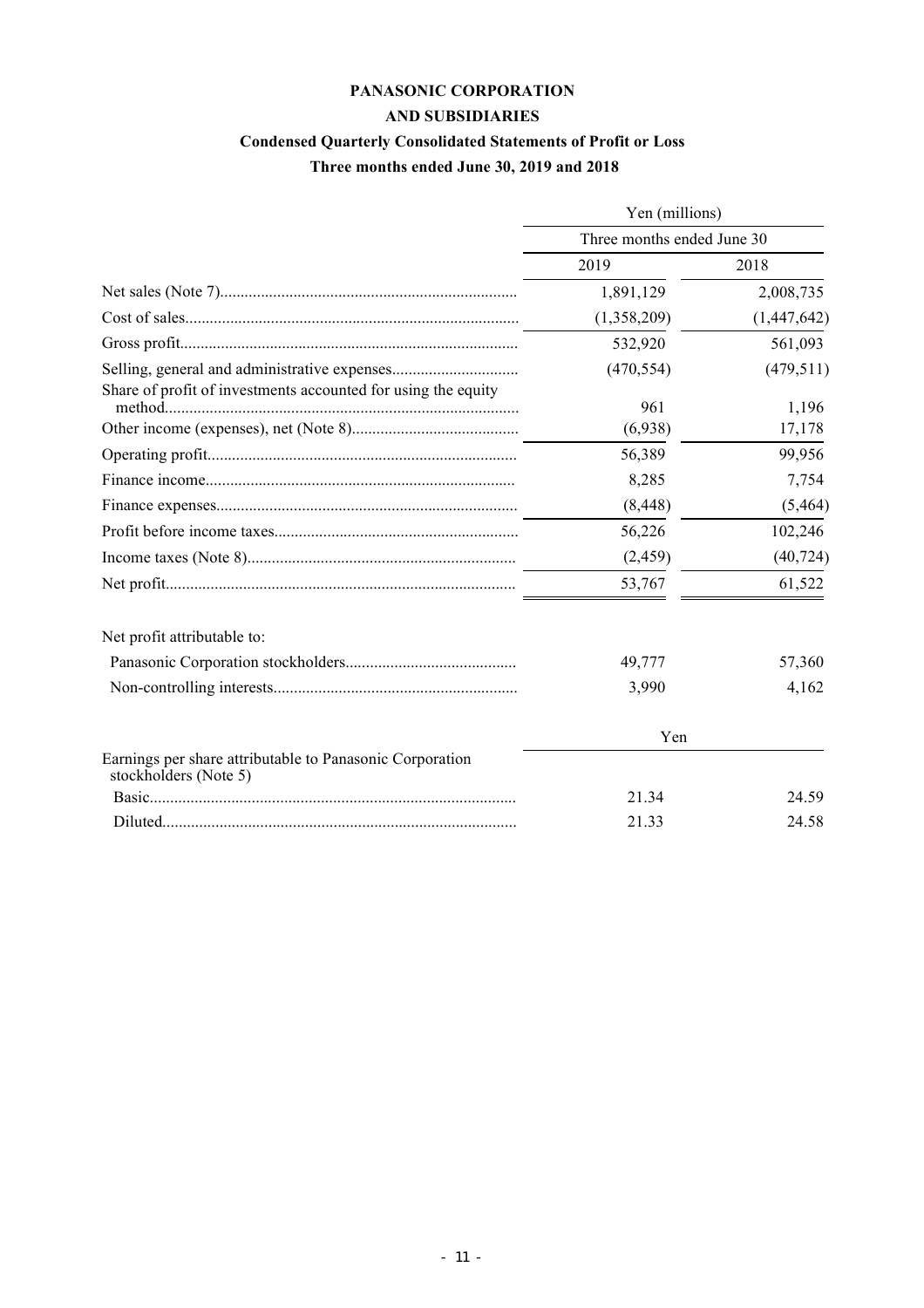# **PANASONIC CORPORATION AND SUBSIDIARIES**

# **Condensed Quarterly Consolidated Statements of Profit or Loss**

 **Three months ended June 30, 2019 and 2018**

|                                                                                   | Yen (millions)             |                 |  |  |
|-----------------------------------------------------------------------------------|----------------------------|-----------------|--|--|
|                                                                                   | Three months ended June 30 |                 |  |  |
|                                                                                   | 2019                       | 2018            |  |  |
|                                                                                   | 1,891,129                  | 2,008,735       |  |  |
|                                                                                   | (1,358,209)                | (1,447,642)     |  |  |
|                                                                                   | 532,920                    | 561,093         |  |  |
|                                                                                   | (470, 554)                 | (479, 511)      |  |  |
| Share of profit of investments accounted for using the equity                     | 961<br>(6,938)             | 1,196<br>17,178 |  |  |
|                                                                                   | 56,389                     | 99,956          |  |  |
|                                                                                   | 8,285                      | 7,754           |  |  |
|                                                                                   | (8, 448)                   | (5, 464)        |  |  |
|                                                                                   | 56,226                     | 102,246         |  |  |
|                                                                                   | (2,459)                    | (40, 724)       |  |  |
|                                                                                   | 53,767                     | 61,522          |  |  |
| Net profit attributable to:                                                       |                            |                 |  |  |
|                                                                                   | 49,777                     | 57,360          |  |  |
|                                                                                   | 3,990                      | 4,162           |  |  |
|                                                                                   | Yen                        |                 |  |  |
| Earnings per share attributable to Panasonic Corporation<br>stockholders (Note 5) |                            |                 |  |  |
|                                                                                   | 21.34                      | 24.59           |  |  |
|                                                                                   | 21.33                      | 24.58           |  |  |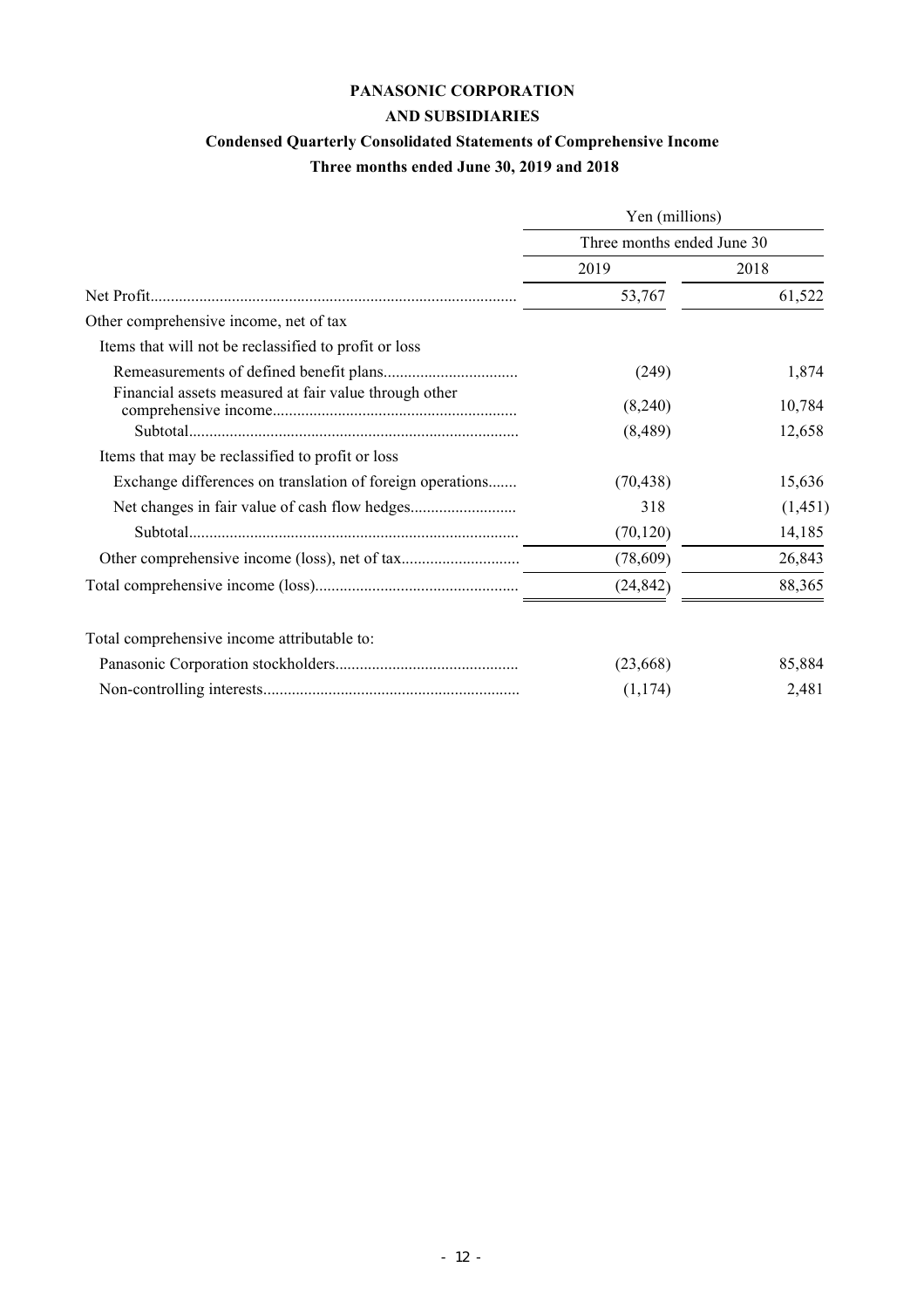# **PANASONIC CORPORATION**

# **AND SUBSIDIARIES**

# **Condensed Quarterly Consolidated Statements of Comprehensive Income**

# **Three months ended June 30, 2019 and 2018**

|                                                           | Yen (millions)<br>Three months ended June 30 |          |  |
|-----------------------------------------------------------|----------------------------------------------|----------|--|
|                                                           |                                              |          |  |
|                                                           | 2019                                         | 2018     |  |
| Net Profit.                                               | 53,767                                       | 61,522   |  |
| Other comprehensive income, net of tax                    |                                              |          |  |
| Items that will not be reclassified to profit or loss     |                                              |          |  |
|                                                           | (249)                                        | 1,874    |  |
| Financial assets measured at fair value through other     | (8,240)                                      | 10,784   |  |
|                                                           | (8, 489)                                     | 12,658   |  |
| Items that may be reclassified to profit or loss          |                                              |          |  |
| Exchange differences on translation of foreign operations | (70, 438)                                    | 15,636   |  |
|                                                           | 318                                          | (1, 451) |  |
|                                                           | (70, 120)                                    | 14,185   |  |
|                                                           | (78,609)                                     | 26,843   |  |
|                                                           | (24, 842)                                    | 88,365   |  |
| Total comprehensive income attributable to:               |                                              |          |  |
|                                                           | (23, 668)                                    | 85,884   |  |
|                                                           | (1, 174)                                     | 2,481    |  |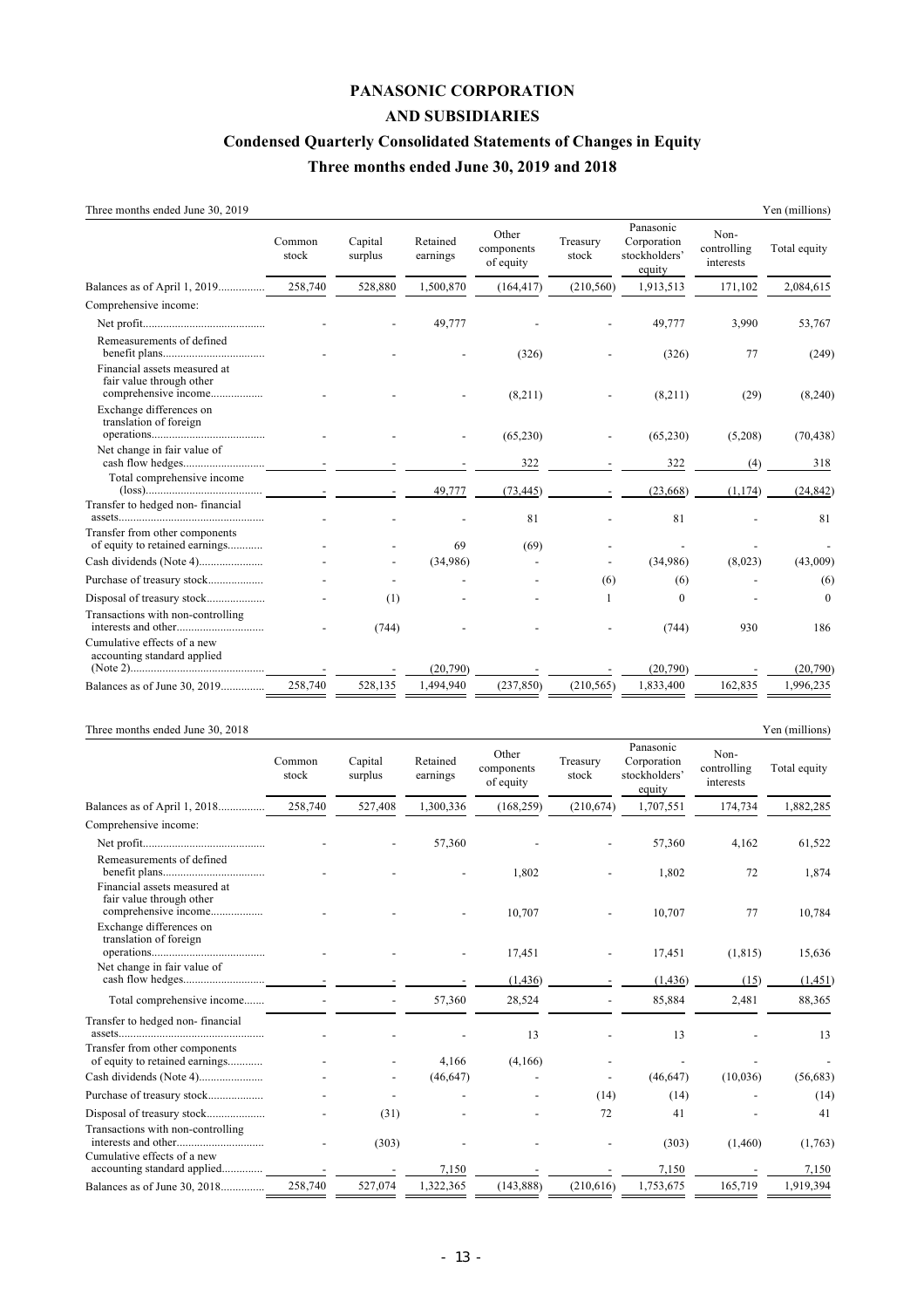## **PANASONIC CORPORATION AND SUBSIDIARIES**

### **Condensed Quarterly Consolidated Statements of Changes in Equity**

# **Three months ended June 30, 2019 and 2018**

|  | Three months ended June 30, 2019 |  |  |  |  |
|--|----------------------------------|--|--|--|--|
|--|----------------------------------|--|--|--|--|

| Three months ended June 30, 2019                                                 |                 |                    |                      |                                  |                   |                                                     |                                  | Yen (millions) |
|----------------------------------------------------------------------------------|-----------------|--------------------|----------------------|----------------------------------|-------------------|-----------------------------------------------------|----------------------------------|----------------|
|                                                                                  | Common<br>stock | Capital<br>surplus | Retained<br>earnings | Other<br>components<br>of equity | Treasury<br>stock | Panasonic<br>Corporation<br>stockholders'<br>equity | Non-<br>controlling<br>interests | Total equity   |
| Balances as of April 1, 2019                                                     | 258,740         | 528,880            | 1,500,870            | (164, 417)                       | (210, 560)        | 1,913,513                                           | 171,102                          | 2,084,615      |
| Comprehensive income:                                                            |                 |                    |                      |                                  |                   |                                                     |                                  |                |
|                                                                                  |                 |                    | 49,777               |                                  |                   | 49,777                                              | 3,990                            | 53,767         |
| Remeasurements of defined                                                        |                 |                    |                      | (326)                            |                   | (326)                                               | 77                               | (249)          |
| Financial assets measured at<br>fair value through other<br>comprehensive income |                 |                    |                      | (8,211)                          |                   | (8,211)                                             | (29)                             | (8,240)        |
| Exchange differences on<br>translation of foreign                                |                 |                    |                      | (65,230)                         |                   | (65,230)                                            | (5,208)                          | (70, 438)      |
| Net change in fair value of                                                      |                 |                    |                      | 322                              |                   | 322                                                 | (4)                              | 318            |
| Total comprehensive income                                                       |                 |                    | 49,777               | (73, 445)                        |                   | (23, 668)                                           | (1, 174)                         | (24, 842)      |
| Transfer to hedged non-financial                                                 |                 |                    |                      | 81                               |                   | 81                                                  |                                  | 81             |
| Transfer from other components<br>of equity to retained earnings                 |                 |                    | 69                   | (69)                             |                   |                                                     |                                  |                |
|                                                                                  |                 |                    | (34,986)             |                                  |                   | (34,986)                                            | (8,023)                          | (43,009)       |
| Purchase of treasury stock                                                       |                 |                    |                      |                                  | (6)               | (6)                                                 |                                  | (6)            |
|                                                                                  |                 | (1)                |                      |                                  |                   | $\Omega$                                            |                                  | $\mathbf{0}$   |
| Transactions with non-controlling                                                |                 | (744)              |                      |                                  |                   | (744)                                               | 930                              | 186            |
| Cumulative effects of a new<br>accounting standard applied                       |                 |                    | (20,790)             |                                  |                   | (20,790)                                            |                                  | (20,790)       |
| Balances as of June 30, 2019                                                     | 258,740         | 528,135            | 1.494.940            | (237, 850)                       | (210, 565)        | 1,833,400                                           | 162,835                          | 1,996,235      |
|                                                                                  |                 |                    |                      |                                  |                   |                                                     |                                  |                |

#### Three months ended June 30, 2018 Yen (millions)

|                                                                                  | Common<br>stock | Capital<br>surplus | Retained<br>earnings | Other<br>components<br>of equity | Treasury<br>stock        | Panasonic<br>Corporation<br>stockholders'<br>equity | Non-<br>controlling<br>interests | Total equity |
|----------------------------------------------------------------------------------|-----------------|--------------------|----------------------|----------------------------------|--------------------------|-----------------------------------------------------|----------------------------------|--------------|
| Balances as of April 1, 2018                                                     | 258,740         | 527,408            | 1,300,336            | (168, 259)                       | (210, 674)               | 1,707,551                                           | 174,734                          | 1,882,285    |
| Comprehensive income:                                                            |                 |                    |                      |                                  |                          |                                                     |                                  |              |
|                                                                                  |                 |                    | 57,360               |                                  |                          | 57,360                                              | 4,162                            | 61,522       |
| Remeasurements of defined                                                        |                 |                    |                      | 1,802                            |                          | 1,802                                               | 72                               | 1,874        |
| Financial assets measured at<br>fair value through other<br>comprehensive income |                 |                    |                      | 10,707                           |                          | 10,707                                              | 77                               | 10,784       |
| Exchange differences on<br>translation of foreign                                |                 |                    |                      | 17,451                           |                          | 17,451                                              | (1, 815)                         | 15,636       |
| Net change in fair value of                                                      |                 |                    |                      | (1, 436)                         |                          | (1, 436)                                            | (15)                             | (1,451)      |
| Total comprehensive income                                                       |                 |                    | 57,360               | 28,524                           |                          | 85,884                                              | 2,481                            | 88,365       |
| Transfer to hedged non-financial                                                 |                 |                    |                      | 13                               |                          | 13                                                  |                                  | 13           |
| Transfer from other components<br>of equity to retained earnings                 |                 |                    | 4,166                | (4,166)                          |                          |                                                     |                                  |              |
|                                                                                  |                 |                    | (46, 647)            |                                  | $\overline{\phantom{a}}$ | (46, 647)                                           | (10,036)                         | (56, 683)    |
| Purchase of treasury stock                                                       |                 |                    |                      |                                  | (14)                     | (14)                                                |                                  | (14)         |
|                                                                                  |                 | (31)               |                      |                                  | 72                       | 41                                                  |                                  | 41           |
| Transactions with non-controlling                                                |                 | (303)              |                      |                                  |                          | (303)                                               | (1,460)                          | (1,763)      |
| Cumulative effects of a new<br>accounting standard applied                       |                 |                    | 7.150                |                                  |                          | 7,150                                               |                                  | 7,150        |
| Balances as of June 30, 2018                                                     | 258,740         | 527,074            | 1,322,365            | (143, 888)                       | (210, 616)               | 1,753,675                                           | 165,719                          | 1,919,394    |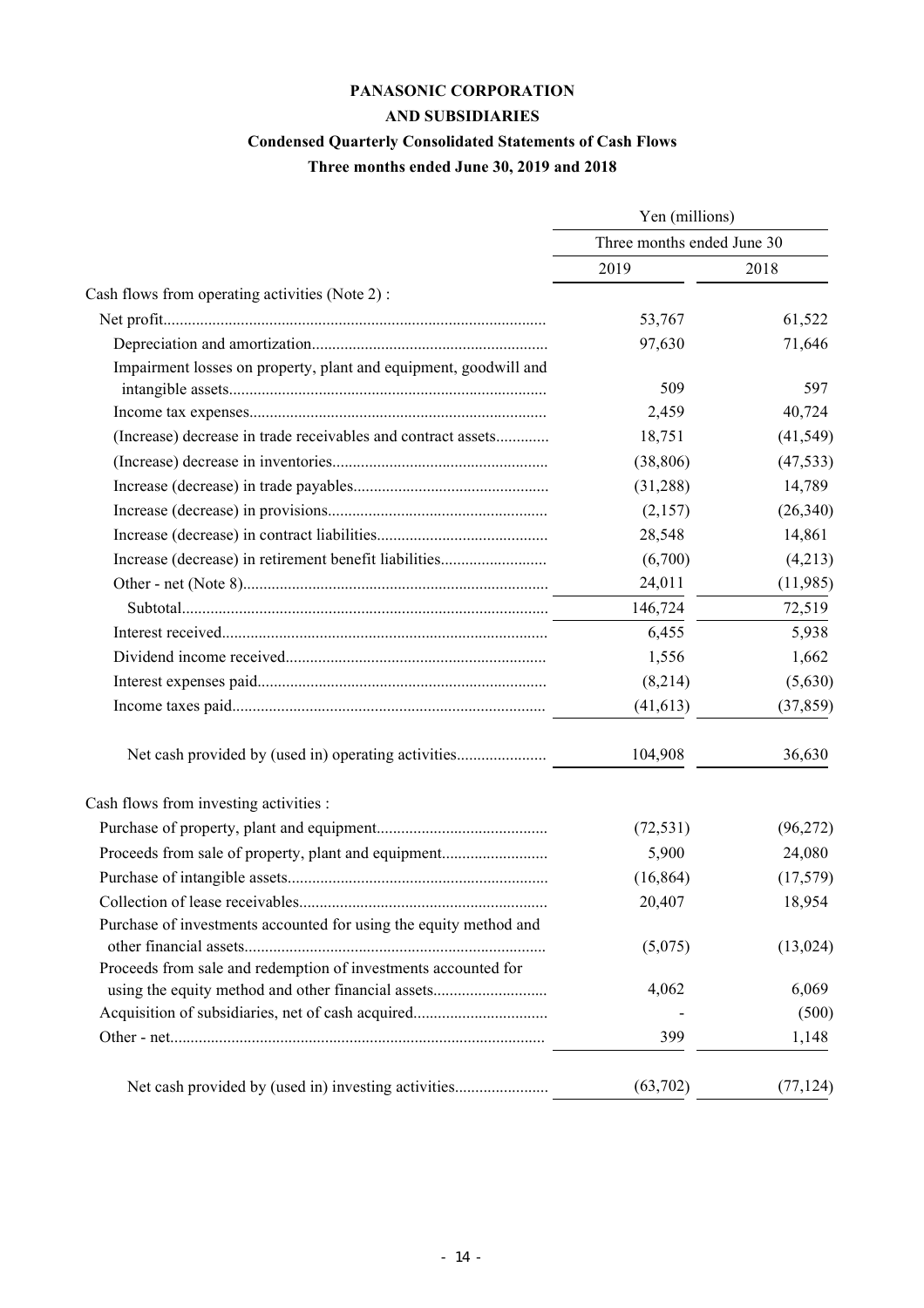# **PANASONIC CORPORATION**

# **AND SUBSIDIARIES**

# **Condensed Quarterly Consolidated Statements of Cash Flows**

**Three months ended June 30, 2019 and 2018**

|                                                                   | Yen (millions)<br>Three months ended June 30 |           |  |
|-------------------------------------------------------------------|----------------------------------------------|-----------|--|
|                                                                   |                                              |           |  |
|                                                                   | 2019                                         | 2018      |  |
| Cash flows from operating activities (Note 2):                    |                                              |           |  |
|                                                                   | 53,767                                       | 61,522    |  |
|                                                                   | 97,630                                       | 71,646    |  |
| Impairment losses on property, plant and equipment, goodwill and  | 509                                          | 597       |  |
|                                                                   | 2,459                                        | 40,724    |  |
| (Increase) decrease in trade receivables and contract assets      | 18,751                                       | (41, 549) |  |
|                                                                   | (38, 806)                                    | (47, 533) |  |
|                                                                   | (31,288)                                     | 14,789    |  |
|                                                                   | (2,157)                                      | (26, 340) |  |
|                                                                   | 28,548                                       | 14,861    |  |
| Increase (decrease) in retirement benefit liabilities             | (6,700)                                      | (4,213)   |  |
|                                                                   | 24,011                                       | (11, 985) |  |
|                                                                   | 146,724                                      | 72,519    |  |
|                                                                   | 6,455                                        | 5,938     |  |
|                                                                   | 1,556                                        | 1,662     |  |
|                                                                   | (8,214)                                      | (5,630)   |  |
|                                                                   | (41, 613)                                    | (37, 859) |  |
|                                                                   | 104,908                                      | 36,630    |  |
| Cash flows from investing activities :                            |                                              |           |  |
|                                                                   | (72, 531)                                    | (96,272)  |  |
| Proceeds from sale of property, plant and equipment               | 5,900                                        | 24,080    |  |
|                                                                   | (16, 864)                                    | (17, 579) |  |
|                                                                   | 20,407                                       | 18,954    |  |
| Purchase of investments accounted for using the equity method and | (5,075)                                      | (13, 024) |  |
| Proceeds from sale and redemption of investments accounted for    |                                              |           |  |
| using the equity method and other financial assets                | 4,062                                        | 6,069     |  |
|                                                                   |                                              | (500)     |  |
|                                                                   | 399                                          | 1,148     |  |
|                                                                   | (63, 702)                                    | (77, 124) |  |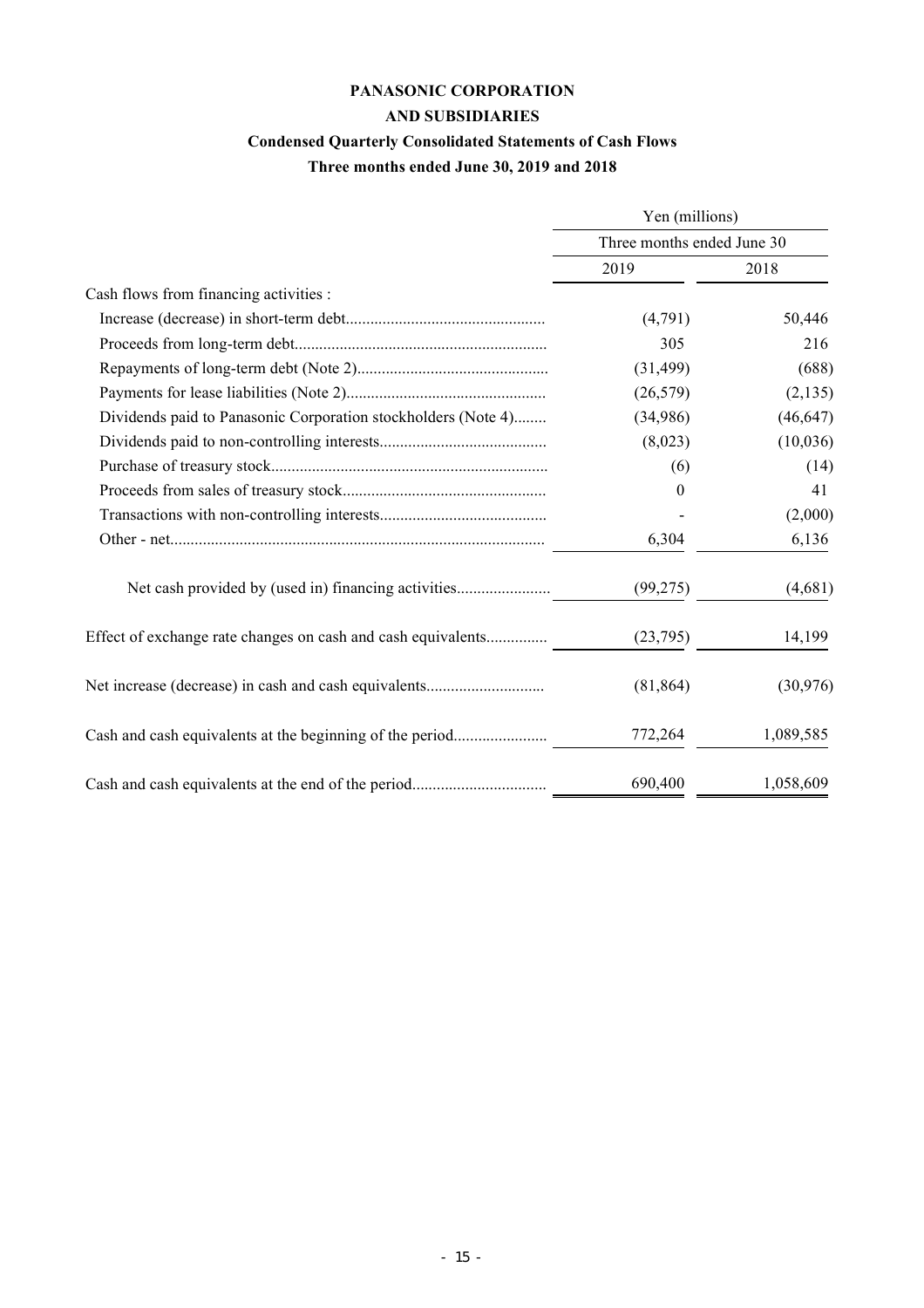# **PANASONIC CORPORATION**

# **AND SUBSIDIARIES**

# **Condensed Quarterly Consolidated Statements of Cash Flows**

**Three months ended June 30, 2019 and 2018**

|                                                               | Yen (millions)             |           |  |  |
|---------------------------------------------------------------|----------------------------|-----------|--|--|
|                                                               | Three months ended June 30 |           |  |  |
|                                                               | 2019                       | 2018      |  |  |
| Cash flows from financing activities :                        |                            |           |  |  |
|                                                               | (4,791)                    | 50,446    |  |  |
|                                                               | 305                        | 216       |  |  |
|                                                               | (31, 499)                  | (688)     |  |  |
|                                                               | (26, 579)                  | (2, 135)  |  |  |
| Dividends paid to Panasonic Corporation stockholders (Note 4) | (34,986)                   | (46, 647) |  |  |
|                                                               | (8,023)                    | (10,036)  |  |  |
|                                                               | (6)                        | (14)      |  |  |
|                                                               | $\theta$                   | 41        |  |  |
|                                                               |                            | (2,000)   |  |  |
|                                                               | 6,304                      | 6,136     |  |  |
|                                                               | (99, 275)                  | (4,681)   |  |  |
| Effect of exchange rate changes on cash and cash equivalents  | (23,795)                   | 14,199    |  |  |
|                                                               | (81, 864)                  | (30, 976) |  |  |
|                                                               | 772,264                    | 1,089,585 |  |  |
|                                                               | 690,400                    | 1,058,609 |  |  |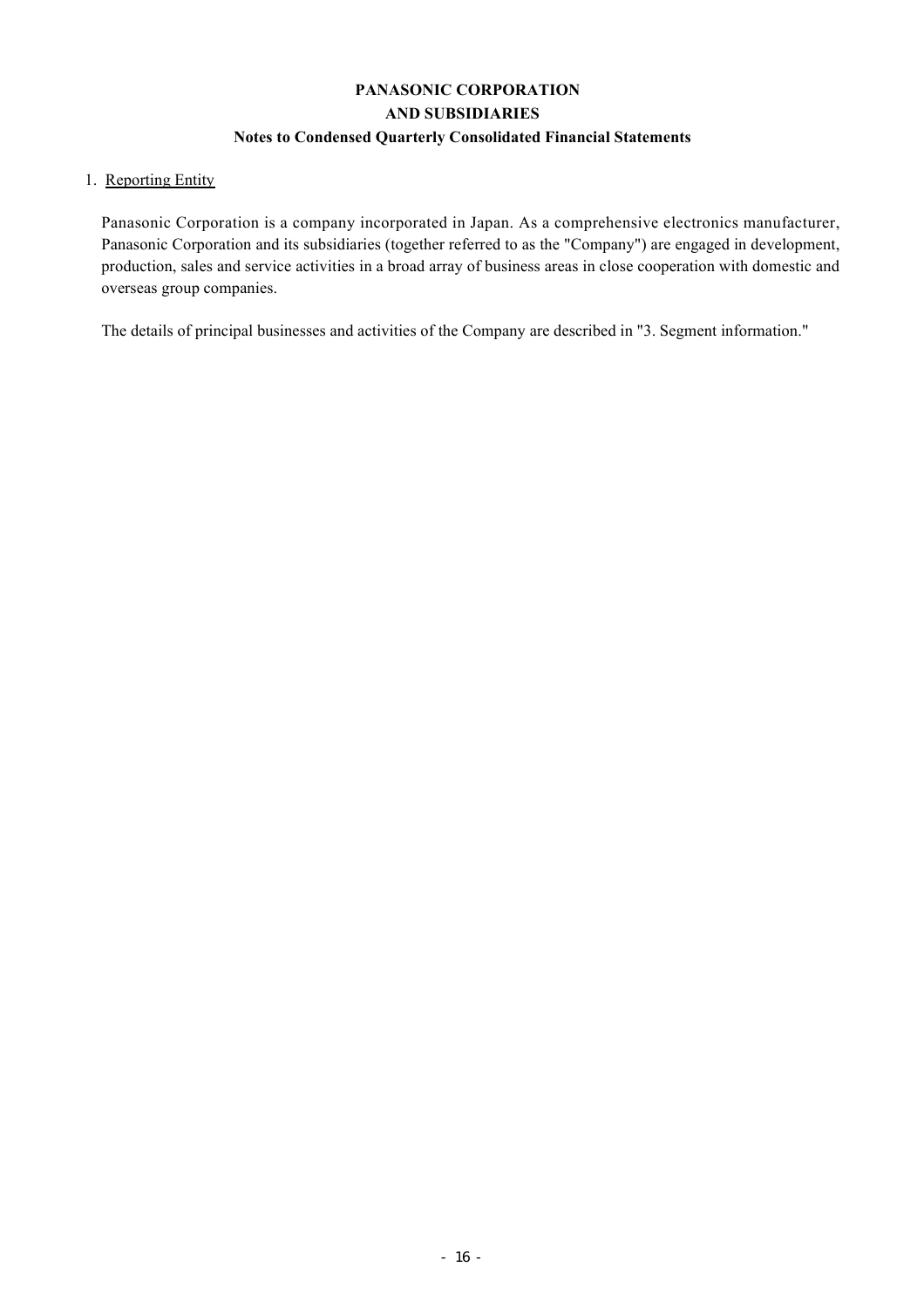# **PANASONIC CORPORATION AND SUBSIDIARIES Notes to Condensed Quarterly Consolidated Financial Statements**

## 1. Reporting Entity

Panasonic Corporation is a company incorporated in Japan. As a comprehensive electronics manufacturer, Panasonic Corporation and its subsidiaries (together referred to as the "Company") are engaged in development, production, sales and service activities in a broad array of business areas in close cooperation with domestic and overseas group companies.

The details of principal businesses and activities of the Company are described in "3. Segment information."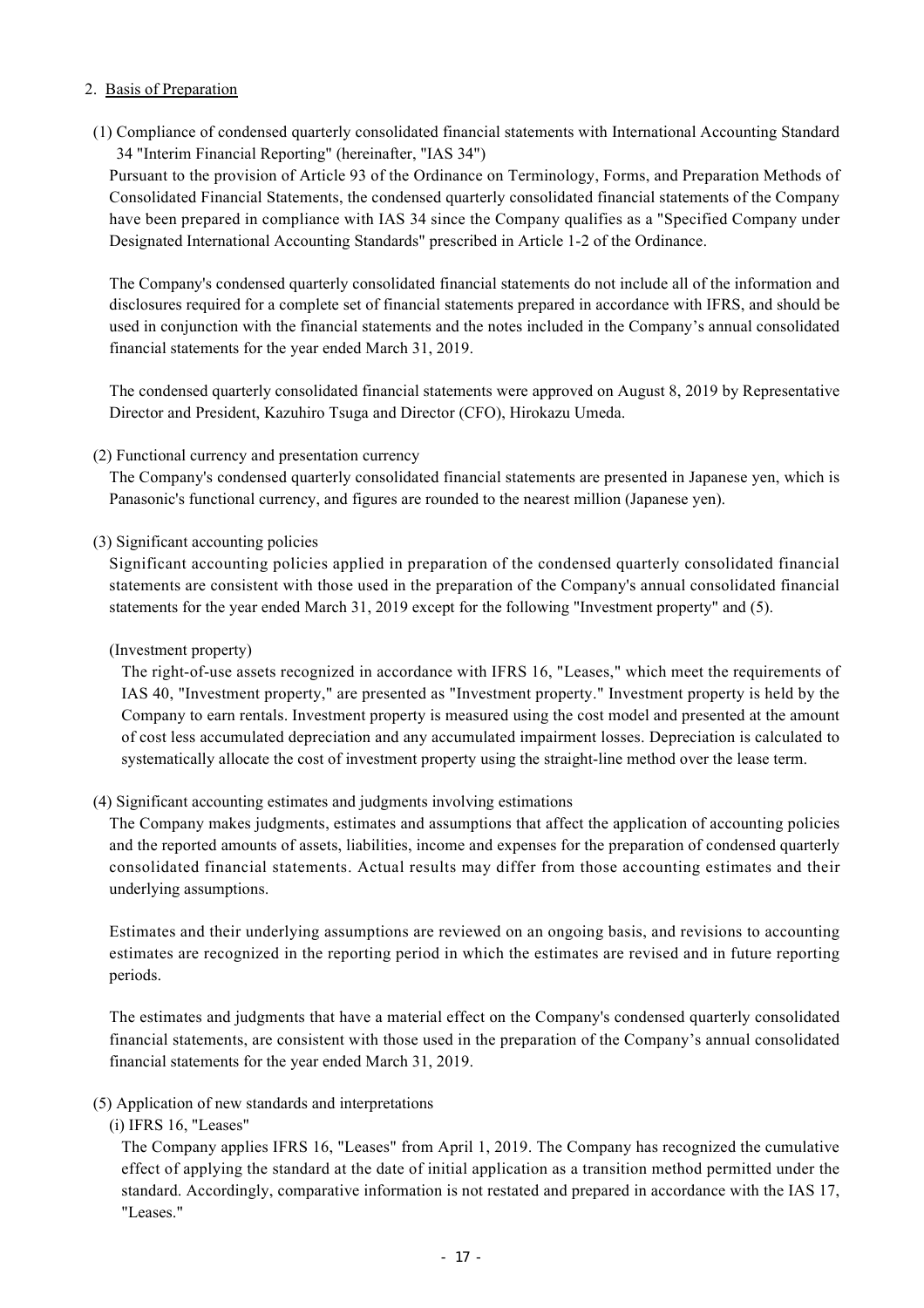### 2. Basis of Preparation

(1) Compliance of condensed quarterly consolidated financial statements with International Accounting Standard 34 "Interim Financial Reporting" (hereinafter, "IAS 34")

Pursuant to the provision of Article 93 of the Ordinance on Terminology, Forms, and Preparation Methods of Consolidated Financial Statements, the condensed quarterly consolidated financial statements of the Company have been prepared in compliance with IAS 34 since the Company qualifies as a "Specified Company under Designated International Accounting Standards" prescribed in Article 1-2 of the Ordinance.

The Company's condensed quarterly consolidated financial statements do not include all of the information and disclosures required for a complete set of financial statements prepared in accordance with IFRS, and should be used in conjunction with the financial statements and the notes included in the Company's annual consolidated financial statements for the year ended March 31, 2019.

The condensed quarterly consolidated financial statements were approved on August 8, 2019 by Representative Director and President, Kazuhiro Tsuga and Director (CFO), Hirokazu Umeda.

### (2) Functional currency and presentation currency

The Company's condensed quarterly consolidated financial statements are presented in Japanese yen, which is Panasonic's functional currency, and figures are rounded to the nearest million (Japanese yen).

(3) Significant accounting policies

Significant accounting policies applied in preparation of the condensed quarterly consolidated financial statements are consistent with those used in the preparation of the Company's annual consolidated financial statements for the year ended March 31, 2019 except for the following "Investment property" and (5).

### (Investment property)

The right-of-use assets recognized in accordance with IFRS 16, "Leases," which meet the requirements of IAS 40, "Investment property," are presented as "Investment property." Investment property is held by the Company to earn rentals. Investment property is measured using the cost model and presented at the amount of cost less accumulated depreciation and any accumulated impairment losses. Depreciation is calculated to systematically allocate the cost of investment property using the straight-line method over the lease term.

### (4) Significant accounting estimates and judgments involving estimations

The Company makes judgments, estimates and assumptions that affect the application of accounting policies and the reported amounts of assets, liabilities, income and expenses for the preparation of condensed quarterly consolidated financial statements. Actual results may differ from those accounting estimates and their underlying assumptions.

Estimates and their underlying assumptions are reviewed on an ongoing basis, and revisions to accounting estimates are recognized in the reporting period in which the estimates are revised and in future reporting periods.

The estimates and judgments that have a material effect on the Company's condensed quarterly consolidated financial statements, are consistent with those used in the preparation of the Company's annual consolidated financial statements for the year ended March 31, 2019.

### (5) Application of new standards and interpretations

### (i) IFRS 16, "Leases"

The Company applies IFRS 16, "Leases" from April 1, 2019. The Company has recognized the cumulative effect of applying the standard at the date of initial application as a transition method permitted under the standard. Accordingly, comparative information is not restated and prepared in accordance with the IAS 17, "Leases."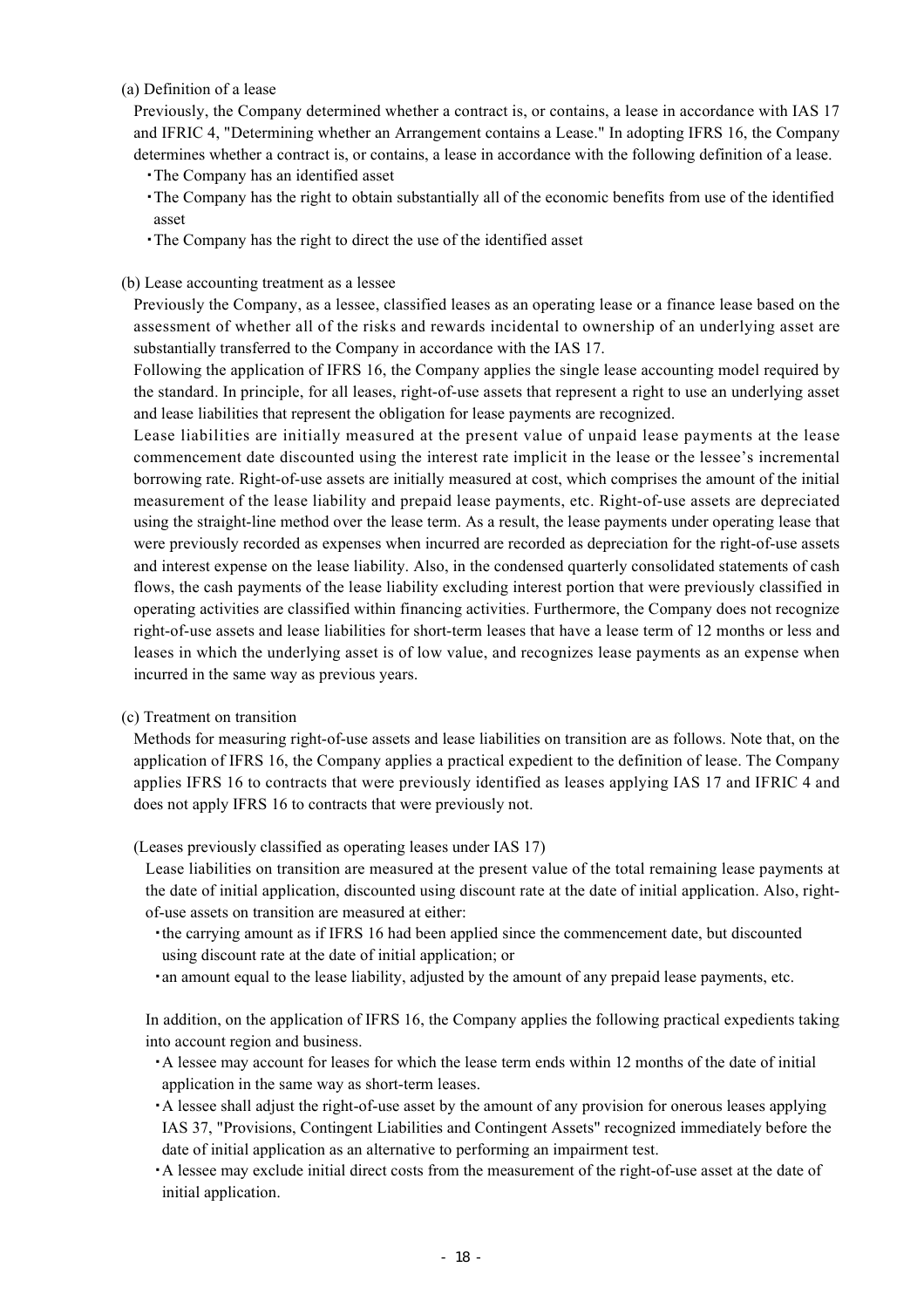### (a) Definition of a lease

Previously, the Company determined whether a contract is, or contains, a lease in accordance with IAS 17 and IFRIC 4, "Determining whether an Arrangement contains a Lease." In adopting IFRS 16, the Company determines whether a contract is, or contains, a lease in accordance with the following definition of a lease.

- ・The Company has an identified asset
- ・The Company has the right to obtain substantially all of the economic benefits from use of the identified asset
- ・The Company has the right to direct the use of the identified asset

### (b) Lease accounting treatment as a lessee

Previously the Company, as a lessee, classified leases as an operating lease or a finance lease based on the assessment of whether all of the risks and rewards incidental to ownership of an underlying asset are substantially transferred to the Company in accordance with the IAS 17.

Following the application of IFRS 16, the Company applies the single lease accounting model required by the standard. In principle, for all leases, right-of-use assets that represent a right to use an underlying asset and lease liabilities that represent the obligation for lease payments are recognized.

Lease liabilities are initially measured at the present value of unpaid lease payments at the lease commencement date discounted using the interest rate implicit in the lease or the lessee's incremental borrowing rate. Right-of-use assets are initially measured at cost, which comprises the amount of the initial measurement of the lease liability and prepaid lease payments, etc. Right-of-use assets are depreciated using the straight-line method over the lease term. As a result, the lease payments under operating lease that were previously recorded as expenses when incurred are recorded as depreciation for the right-of-use assets and interest expense on the lease liability. Also, in the condensed quarterly consolidated statements of cash flows, the cash payments of the lease liability excluding interest portion that were previously classified in operating activities are classified within financing activities. Furthermore, the Company does not recognize right-of-use assets and lease liabilities for short-term leases that have a lease term of 12 months or less and leases in which the underlying asset is of low value, and recognizes lease payments as an expense when incurred in the same way as previous years.

### (c) Treatment on transition

Methods for measuring right-of-use assets and lease liabilities on transition are as follows. Note that, on the application of IFRS 16, the Company applies a practical expedient to the definition of lease. The Company applies IFRS 16 to contracts that were previously identified as leases applying IAS 17 and IFRIC 4 and does not apply IFRS 16 to contracts that were previously not.

(Leases previously classified as operating leases under IAS 17)

Lease liabilities on transition are measured at the present value of the total remaining lease payments at the date of initial application, discounted using discount rate at the date of initial application. Also, rightof-use assets on transition are measured at either:

・the carrying amount as if IFRS 16 had been applied since the commencement date, but discounted using discount rate at the date of initial application; or

・an amount equal to the lease liability, adjusted by the amount of any prepaid lease payments, etc.

In addition, on the application of IFRS 16, the Company applies the following practical expedients taking into account region and business.

・A lessee may account for leases for which the lease term ends within 12 months of the date of initial application in the same way as short-term leases.

- ・A lessee shall adjust the right-of-use asset by the amount of any provision for onerous leases applying IAS 37, "Provisions, Contingent Liabilities and Contingent Assets" recognized immediately before the date of initial application as an alternative to performing an impairment test.
- ・A lessee may exclude initial direct costs from the measurement of the right-of-use asset at the date of initial application.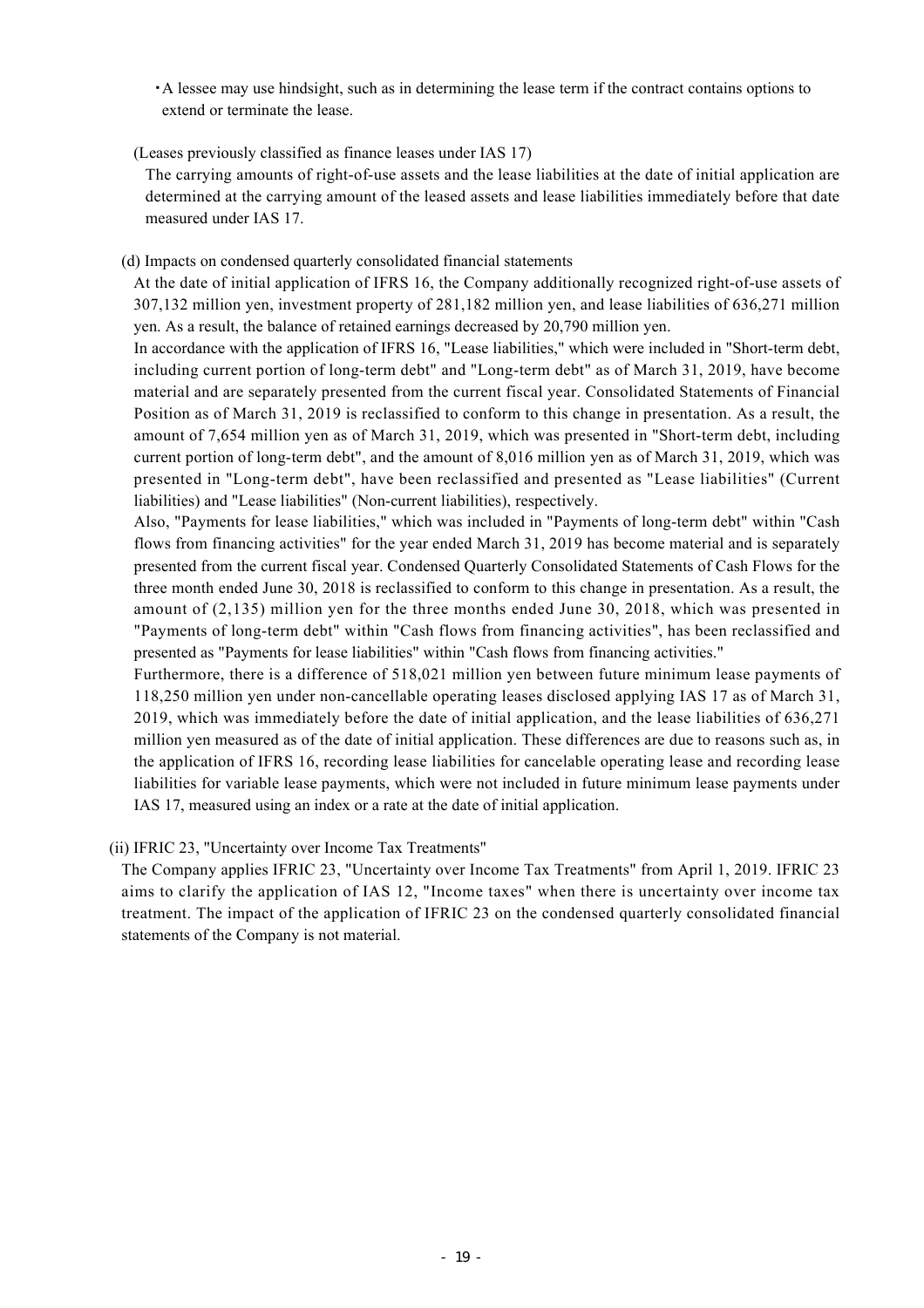- ・A lessee may use hindsight, such as in determining the lease term if the contract contains options to extend or terminate the lease.
- (Leases previously classified as finance leases under IAS 17)

The carrying amounts of right-of-use assets and the lease liabilities at the date of initial application are determined at the carrying amount of the leased assets and lease liabilities immediately before that date measured under IAS 17.

(d) Impacts on condensed quarterly consolidated financial statements

At the date of initial application of IFRS 16, the Company additionally recognized right-of-use assets of 307,132 million yen, investment property of 281,182 million yen, and lease liabilities of 636,271 million yen. As a result, the balance of retained earnings decreased by 20,790 million yen.

In accordance with the application of IFRS 16, "Lease liabilities," which were included in "Short-term debt, including current portion of long-term debt" and "Long-term debt" as of March 31, 2019, have become material and are separately presented from the current fiscal year. Consolidated Statements of Financial Position as of March 31, 2019 is reclassified to conform to this change in presentation. As a result, the amount of 7,654 million yen as of March 31, 2019, which was presented in "Short-term debt, including current portion of long-term debt", and the amount of 8,016 million yen as of March 31, 2019, which was presented in "Long-term debt", have been reclassified and presented as "Lease liabilities" (Current liabilities) and "Lease liabilities" (Non-current liabilities), respectively.

Also, "Payments for lease liabilities," which was included in "Payments of long-term debt" within "Cash flows from financing activities" for the year ended March 31, 2019 has become material and is separately presented from the current fiscal year. Condensed Quarterly Consolidated Statements of Cash Flows for the three month ended June 30, 2018 is reclassified to conform to this change in presentation. As a result, the amount of (2,135) million yen for the three months ended June 30, 2018, which was presented in "Payments of long-term debt" within "Cash flows from financing activities", has been reclassified and presented as "Payments for lease liabilities" within "Cash flows from financing activities."

Furthermore, there is a difference of 518,021 million yen between future minimum lease payments of 118,250 million yen under non-cancellable operating leases disclosed applying IAS 17 as of March 31, 2019, which was immediately before the date of initial application, and the lease liabilities of 636,271 million yen measured as of the date of initial application. These differences are due to reasons such as, in the application of IFRS 16, recording lease liabilities for cancelable operating lease and recording lease liabilities for variable lease payments, which were not included in future minimum lease payments under IAS 17, measured using an index or a rate at the date of initial application.

(ii) IFRIC 23, "Uncertainty over Income Tax Treatments"

The Company applies IFRIC 23, "Uncertainty over Income Tax Treatments" from April 1, 2019. IFRIC 23 aims to clarify the application of IAS 12, "Income taxes" when there is uncertainty over income tax treatment. The impact of the application of IFRIC 23 on the condensed quarterly consolidated financial statements of the Company is not material.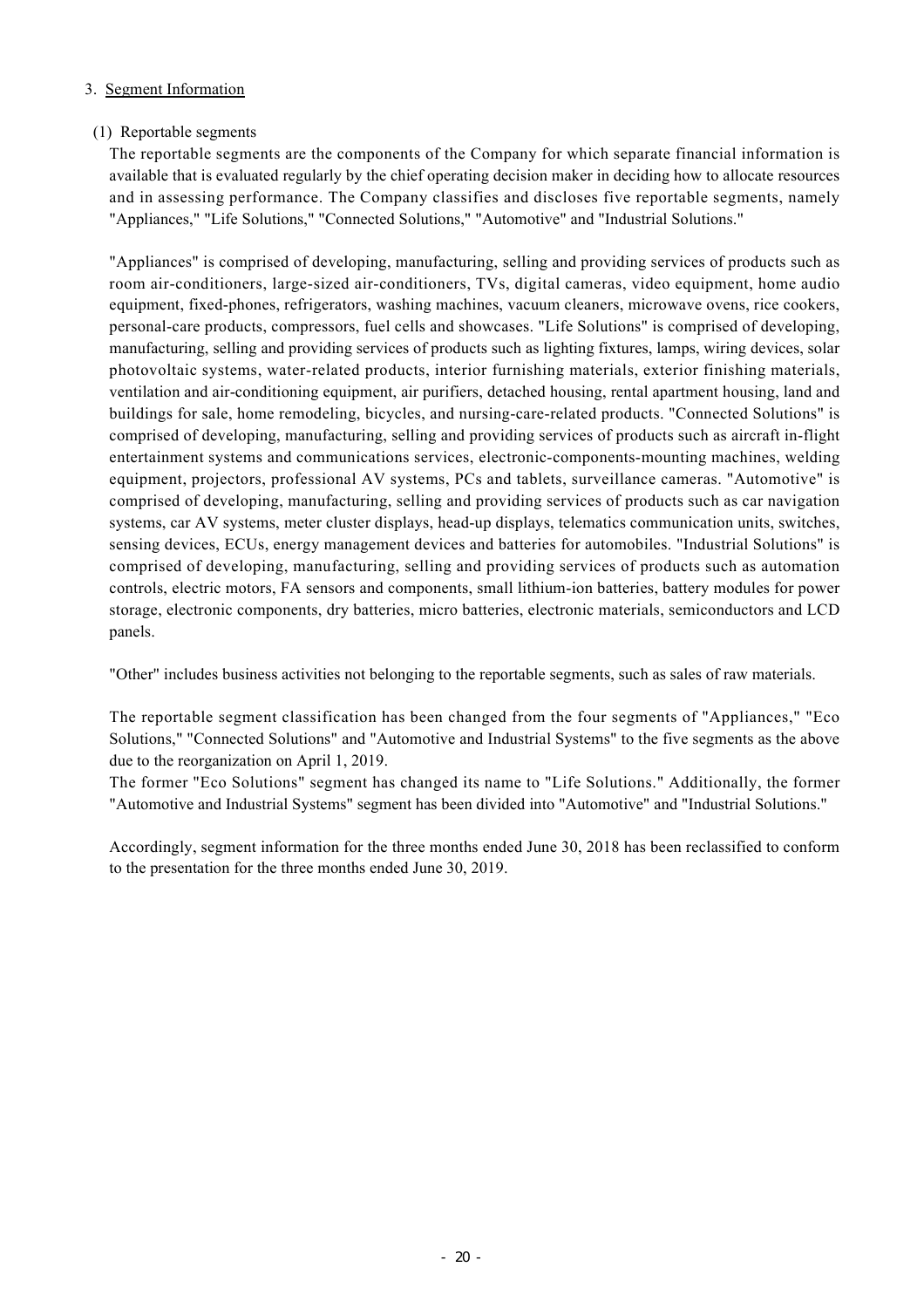### 3. Segment Information

### (1) Reportable segments

The reportable segments are the components of the Company for which separate financial information is available that is evaluated regularly by the chief operating decision maker in deciding how to allocate resources and in assessing performance. The Company classifies and discloses five reportable segments, namely "Appliances," "Life Solutions," "Connected Solutions," "Automotive" and "Industrial Solutions."

"Appliances" is comprised of developing, manufacturing, selling and providing services of products such as room air-conditioners, large-sized air-conditioners, TVs, digital cameras, video equipment, home audio equipment, fixed-phones, refrigerators, washing machines, vacuum cleaners, microwave ovens, rice cookers, personal-care products, compressors, fuel cells and showcases. "Life Solutions" is comprised of developing, manufacturing, selling and providing services of products such as lighting fixtures, lamps, wiring devices, solar photovoltaic systems, water-related products, interior furnishing materials, exterior finishing materials, ventilation and air-conditioning equipment, air purifiers, detached housing, rental apartment housing, land and buildings for sale, home remodeling, bicycles, and nursing-care-related products. "Connected Solutions" is comprised of developing, manufacturing, selling and providing services of products such as aircraft in-flight entertainment systems and communications services, electronic-components-mounting machines, welding equipment, projectors, professional AV systems, PCs and tablets, surveillance cameras. "Automotive" is comprised of developing, manufacturing, selling and providing services of products such as car navigation systems, car AV systems, meter cluster displays, head-up displays, telematics communication units, switches, sensing devices, ECUs, energy management devices and batteries for automobiles. "Industrial Solutions" is comprised of developing, manufacturing, selling and providing services of products such as automation controls, electric motors, FA sensors and components, small lithium-ion batteries, battery modules for power storage, electronic components, dry batteries, micro batteries, electronic materials, semiconductors and LCD panels.

"Other" includes business activities not belonging to the reportable segments, such as sales of raw materials.

The reportable segment classification has been changed from the four segments of "Appliances," "Eco Solutions," "Connected Solutions" and "Automotive and Industrial Systems" to the five segments as the above due to the reorganization on April 1, 2019.

The former "Eco Solutions" segment has changed its name to "Life Solutions." Additionally, the former "Automotive and Industrial Systems" segment has been divided into "Automotive" and "Industrial Solutions."

Accordingly, segment information for the three months ended June 30, 2018 has been reclassified to conform to the presentation for the three months ended June 30, 2019.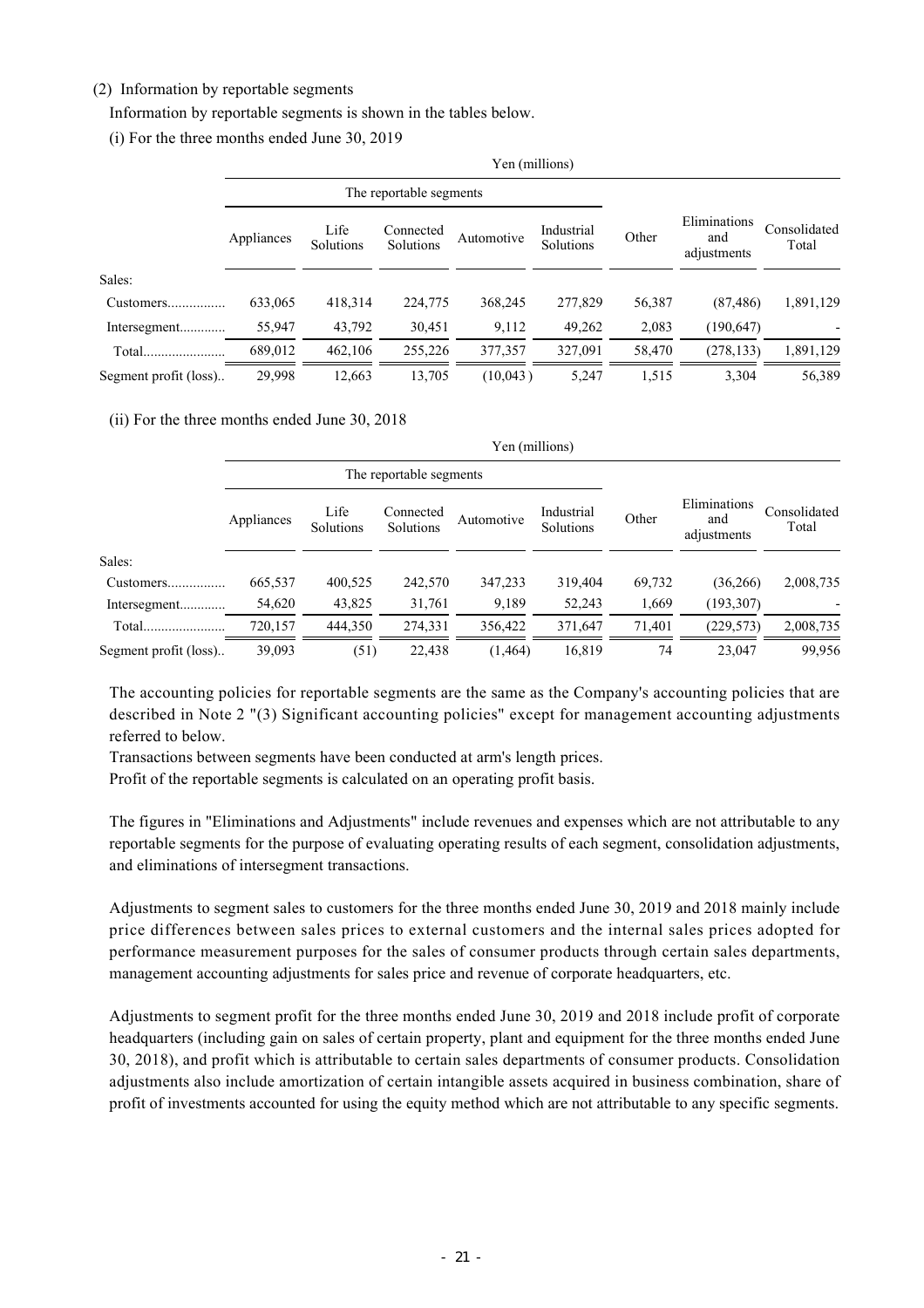### (2) Information by reportable segments

Information by reportable segments is shown in the tables below.

(i) For the three months ended June 30, 2019

|                       | Yen (millions)          |                   |                        |            |                         |        |                                    |                       |
|-----------------------|-------------------------|-------------------|------------------------|------------|-------------------------|--------|------------------------------------|-----------------------|
|                       | The reportable segments |                   |                        |            |                         |        |                                    |                       |
|                       | Appliances              | Life<br>Solutions | Connected<br>Solutions | Automotive | Industrial<br>Solutions | Other  | Eliminations<br>and<br>adjustments | Consolidated<br>Total |
| Sales:                |                         |                   |                        |            |                         |        |                                    |                       |
|                       | 633,065                 | 418,314           | 224,775                | 368,245    | 277,829                 | 56,387 | (87, 486)                          | 1,891,129             |
| Intersegment          | 55,947                  | 43,792            | 30,451                 | 9,112      | 49,262                  | 2,083  | (190, 647)                         |                       |
| Total                 | 689,012                 | 462,106           | 255,226                | 377,357    | 327,091                 | 58,470 | (278, 133)                         | 1,891,129             |
| Segment profit (loss) | 29,998                  | 12,663            | 13,705                 | (10,043)   | 5,247                   | 1,515  | 3,304                              | 56,389                |

#### (ii) For the three months ended June 30, 2018

|                       | Yen (millions)          |                   |                        |            |                         |        |                                    |                       |
|-----------------------|-------------------------|-------------------|------------------------|------------|-------------------------|--------|------------------------------------|-----------------------|
|                       | The reportable segments |                   |                        |            |                         |        |                                    |                       |
|                       | Appliances              | Life<br>Solutions | Connected<br>Solutions | Automotive | Industrial<br>Solutions | Other  | Eliminations<br>and<br>adjustments | Consolidated<br>Total |
| Sales:                |                         |                   |                        |            |                         |        |                                    |                       |
| Customers             | 665,537                 | 400,525           | 242,570                | 347,233    | 319,404                 | 69,732 | (36, 266)                          | 2,008,735             |
| Intersegment          | 54,620                  | 43,825            | 31,761                 | 9,189      | 52,243                  | 1,669  | (193, 307)                         |                       |
| Total                 | 720,157                 | 444,350           | 274,331                | 356,422    | 371,647                 | 71,401 | (229, 573)                         | 2,008,735             |
| Segment profit (loss) | 39,093                  | (51)              | 22,438                 | (1, 464)   | 16,819                  | 74     | 23,047                             | 99,956                |

The accounting policies for reportable segments are the same as the Company's accounting policies that are described in Note 2 "(3) Significant accounting policies" except for management accounting adjustments referred to below.

Transactions between segments have been conducted at arm's length prices.

Profit of the reportable segments is calculated on an operating profit basis.

The figures in "Eliminations and Adjustments" include revenues and expenses which are not attributable to any reportable segments for the purpose of evaluating operating results of each segment, consolidation adjustments, and eliminations of intersegment transactions.

Adjustments to segment sales to customers for the three months ended June 30, 2019 and 2018 mainly include price differences between sales prices to external customers and the internal sales prices adopted for performance measurement purposes for the sales of consumer products through certain sales departments, management accounting adjustments for sales price and revenue of corporate headquarters, etc.

Adjustments to segment profit for the three months ended June 30, 2019 and 2018 include profit of corporate headquarters (including gain on sales of certain property, plant and equipment for the three months ended June 30, 2018), and profit which is attributable to certain sales departments of consumer products. Consolidation adjustments also include amortization of certain intangible assets acquired in business combination, share of profit of investments accounted for using the equity method which are not attributable to any specific segments.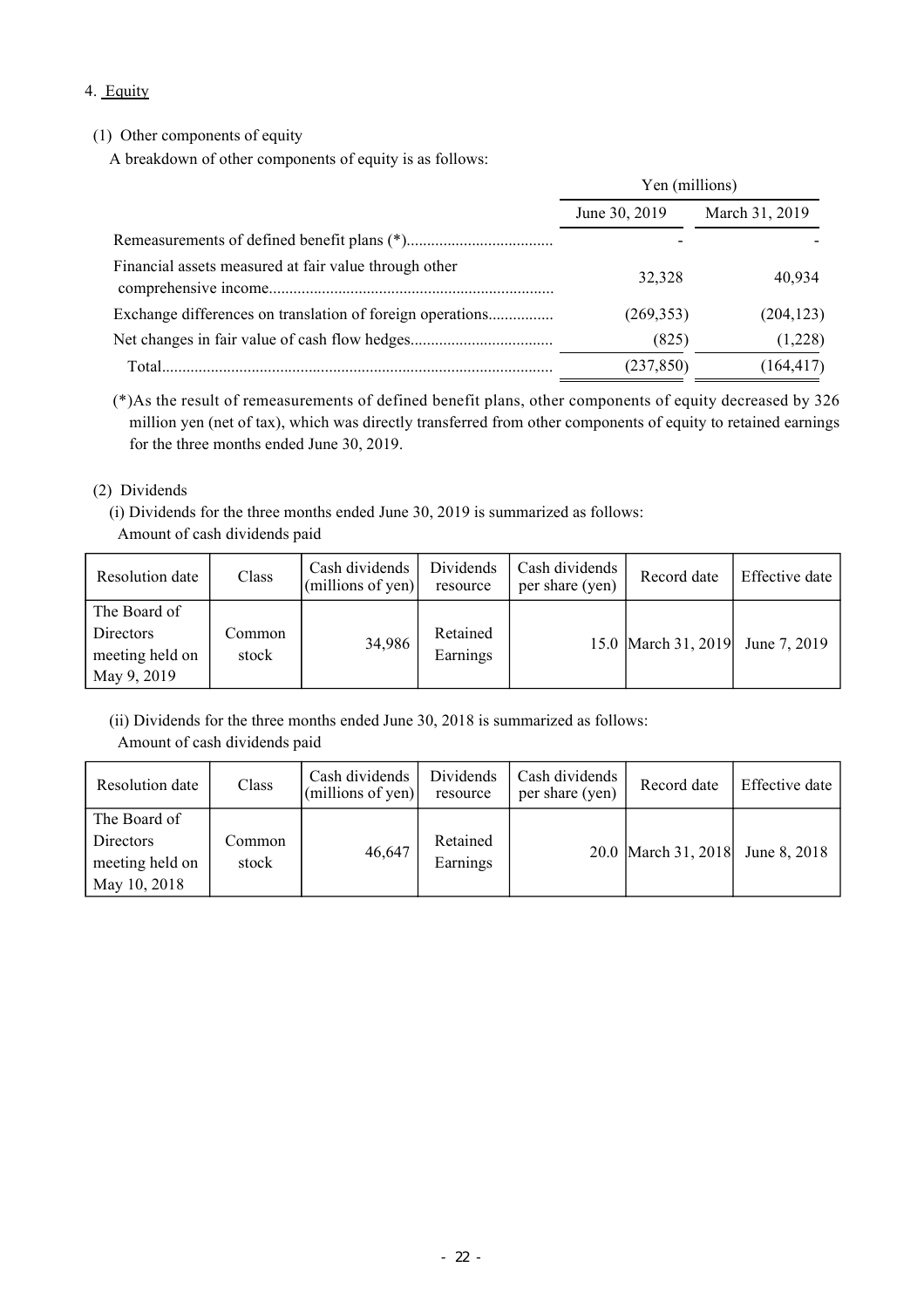## 4. Equity

## (1) Other components of equity

A breakdown of other components of equity is as follows:

|                                                       | Yen (millions) |                |  |
|-------------------------------------------------------|----------------|----------------|--|
|                                                       | June 30, 2019  | March 31, 2019 |  |
|                                                       |                |                |  |
| Financial assets measured at fair value through other | 32.328         | 40,934         |  |
|                                                       | (269, 353)     | (204, 123)     |  |
|                                                       | (825)          | (1,228)        |  |
| Total.                                                | (237, 850)     | (164, 417)     |  |

(\*)As the result of remeasurements of defined benefit plans, other components of equity decreased by 326 million yen (net of tax), which was directly transferred from other components of equity to retained earnings for the three months ended June 30, 2019.

### (2) Dividends

(i) Dividends for the three months ended June 30, 2019 is summarized as follows: Amount of cash dividends paid

| Resolution date                                             | Class           | Cash dividends<br>(millions of yen) | Dividends<br>resource | Cash dividends<br>per share (yen) | Record date         | Effective date |
|-------------------------------------------------------------|-----------------|-------------------------------------|-----------------------|-----------------------------------|---------------------|----------------|
| The Board of<br>Directors<br>meeting held on<br>May 9, 2019 | Common<br>stock | 34,986                              | Retained<br>Earnings  |                                   | 15.0 March 31, 2019 | June 7, 2019   |

(ii) Dividends for the three months ended June 30, 2018 is summarized as follows: Amount of cash dividends paid

| Resolution date                                              | Class           | Cash dividends<br>$ $ (millions of yen) $ $ | Dividends<br>resource | Cash dividends<br>per share (yen) | Record date         | Effective date |
|--------------------------------------------------------------|-----------------|---------------------------------------------|-----------------------|-----------------------------------|---------------------|----------------|
| The Board of<br>Directors<br>meeting held on<br>May 10, 2018 | Common<br>stock | 46,647                                      | Retained<br>Earnings  |                                   | 20.0 March 31, 2018 | June 8, 2018   |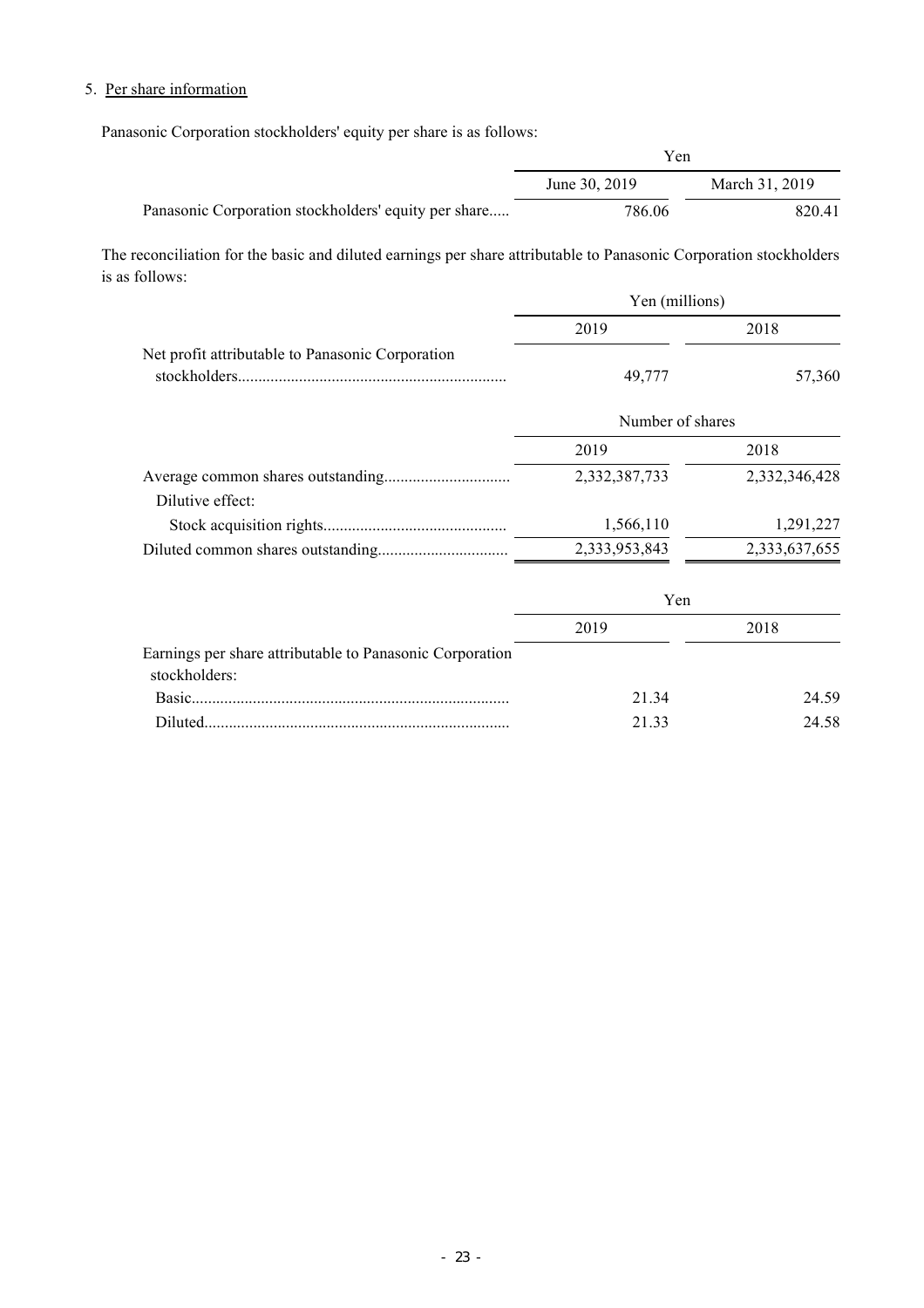# 5. Per share information

Panasonic Corporation stockholders' equity per share is as follows:

|                                                      | Yen           |                |
|------------------------------------------------------|---------------|----------------|
|                                                      | June 30, 2019 | March 31, 2019 |
| Panasonic Corporation stockholders' equity per share | 786.06        | 820.41         |

The reconciliation for the basic and diluted earnings per share attributable to Panasonic Corporation stockholders is as follows:

|                                                  | Yen (millions) |        |
|--------------------------------------------------|----------------|--------|
|                                                  | 2019           | 2018   |
| Net profit attributable to Panasonic Corporation | 49.777         | 57,360 |

|                  | Number of shares |               |  |
|------------------|------------------|---------------|--|
|                  | 2019             | 2018          |  |
|                  | 2,332,387,733    | 2,332,346,428 |  |
| Dilutive effect: |                  |               |  |
|                  | 1,566,110        | 1,291,227     |  |
|                  | 2,333,953,843    | 2,333,637,655 |  |

|                                                                           | Yen   |       |
|---------------------------------------------------------------------------|-------|-------|
|                                                                           | 2019  | 2018  |
| Earnings per share attributable to Panasonic Corporation<br>stockholders: |       |       |
|                                                                           | 21 34 | 24.59 |
| <b>Diluted</b>                                                            | 21 33 | 24.58 |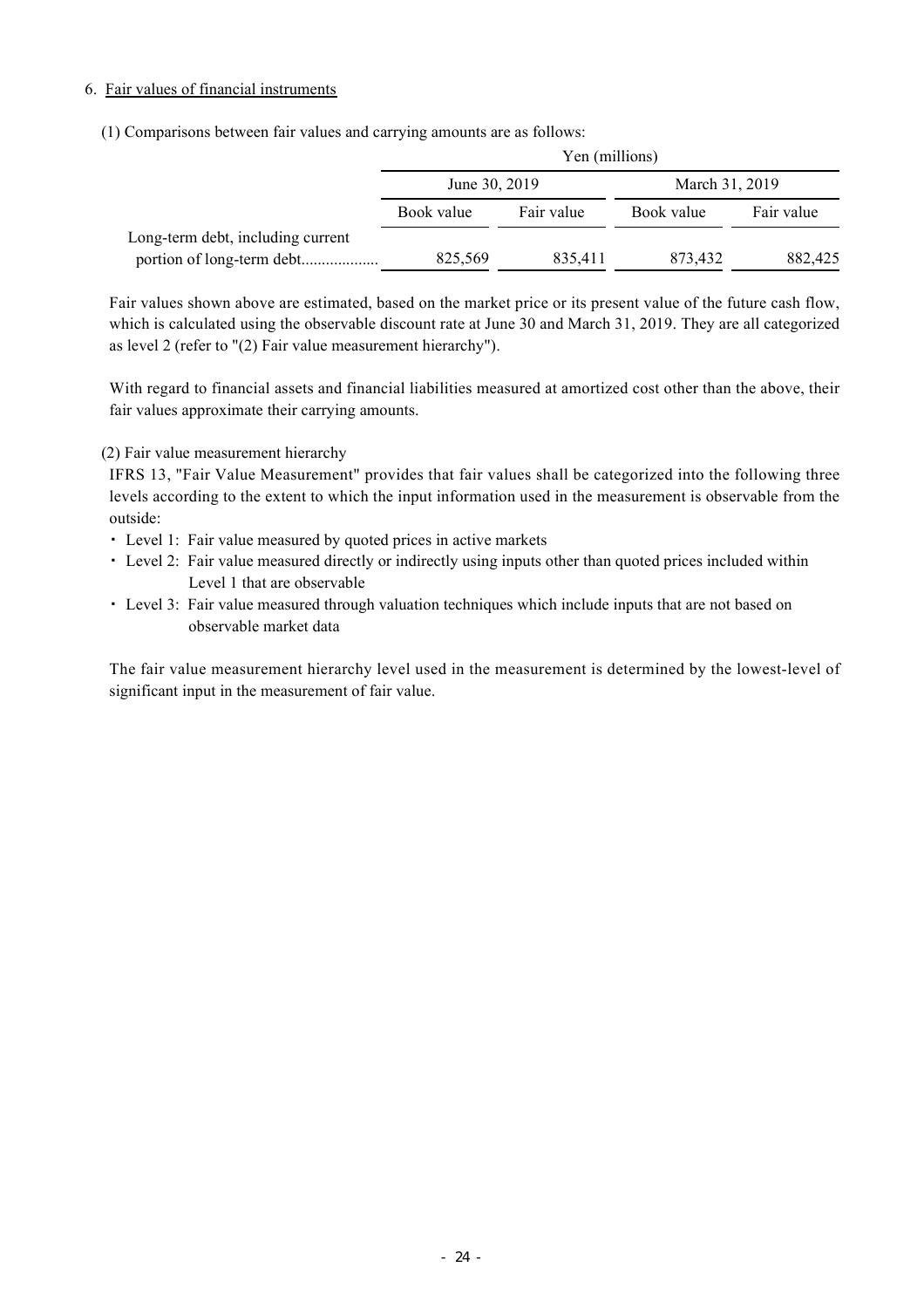### 6. Fair values of financial instruments

(1) Comparisons between fair values and carrying amounts are as follows:

|                                   | Yen (millions) |            |                |            |  |  |
|-----------------------------------|----------------|------------|----------------|------------|--|--|
|                                   | June 30, 2019  |            | March 31, 2019 |            |  |  |
|                                   | Book value     | Fair value | Book value     | Fair value |  |  |
| Long-term debt, including current |                |            |                |            |  |  |
|                                   | 825,569        | 835,411    | 873,432        | 882,425    |  |  |

Fair values shown above are estimated, based on the market price or its present value of the future cash flow, which is calculated using the observable discount rate at June 30 and March 31, 2019. They are all categorized as level 2 (refer to "(2) Fair value measurement hierarchy").

With regard to financial assets and financial liabilities measured at amortized cost other than the above, their fair values approximate their carrying amounts.

(2) Fair value measurement hierarchy

IFRS 13, "Fair Value Measurement" provides that fair values shall be categorized into the following three levels according to the extent to which the input information used in the measurement is observable from the outside:

- ・ Level 1: Fair value measured by quoted prices in active markets
- ・ Level 2: Fair value measured directly or indirectly using inputs other than quoted prices included within Level 1 that are observable
- ・ Level 3: Fair value measured through valuation techniques which include inputs that are not based on observable market data

The fair value measurement hierarchy level used in the measurement is determined by the lowest-level of significant input in the measurement of fair value.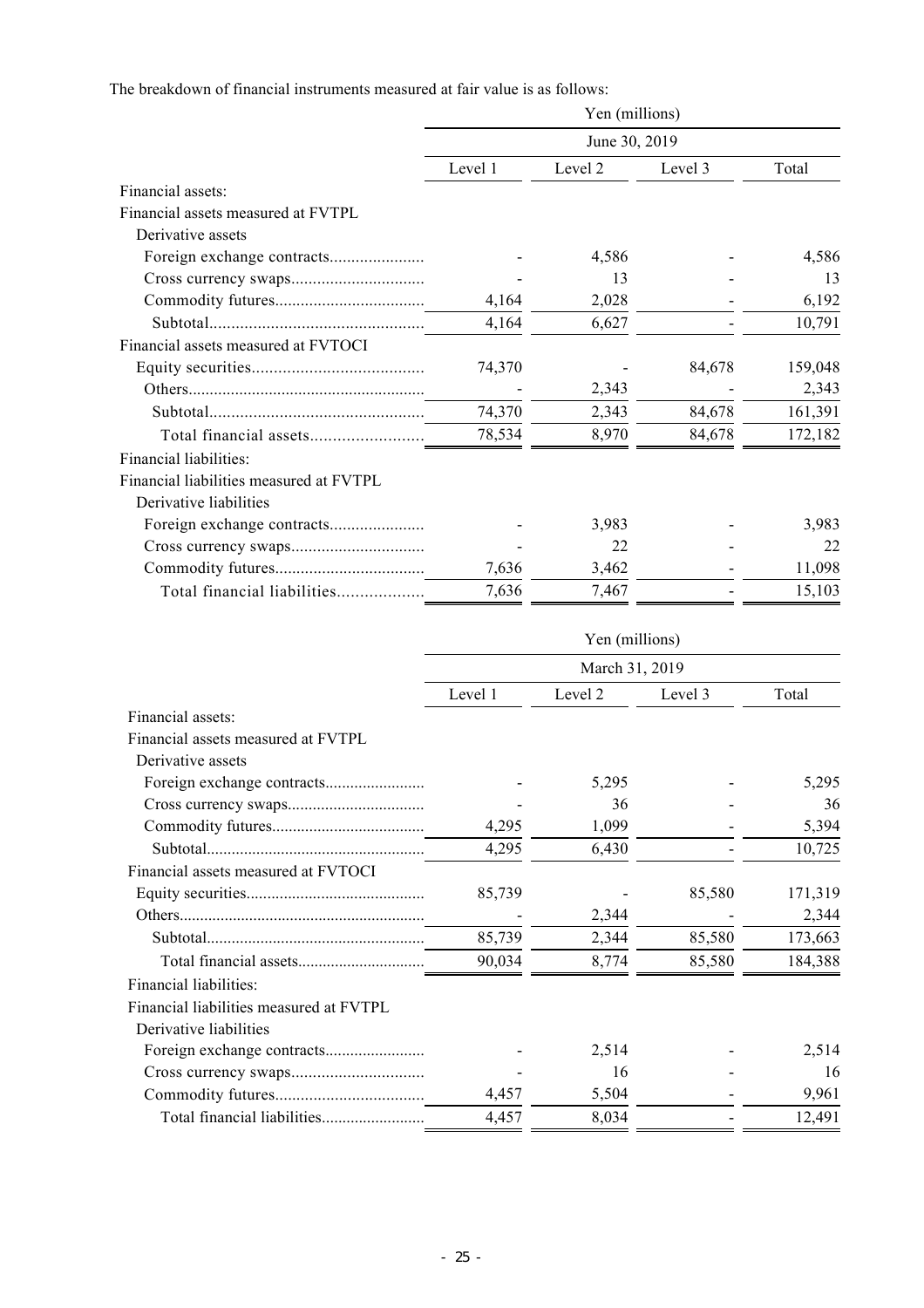The breakdown of financial instruments measured at fair value is as follows:

|                                         | Yen (millions)<br>June 30, 2019 |         |         |         |  |  |
|-----------------------------------------|---------------------------------|---------|---------|---------|--|--|
|                                         |                                 |         |         |         |  |  |
|                                         | Level 1                         | Level 2 | Level 3 | Total   |  |  |
| Financial assets:                       |                                 |         |         |         |  |  |
| Financial assets measured at FVTPL      |                                 |         |         |         |  |  |
| Derivative assets                       |                                 |         |         |         |  |  |
|                                         |                                 | 4,586   |         | 4,586   |  |  |
|                                         |                                 | 13      |         | 13      |  |  |
|                                         | 4,164                           | 2,028   |         | 6,192   |  |  |
|                                         | 4,164                           | 6,627   |         | 10,791  |  |  |
| Financial assets measured at FVTOCI     |                                 |         |         |         |  |  |
|                                         | 74,370                          |         | 84,678  | 159,048 |  |  |
|                                         |                                 | 2,343   |         | 2,343   |  |  |
|                                         | 74,370                          | 2,343   | 84,678  | 161,391 |  |  |
|                                         | 78,534                          | 8,970   | 84,678  | 172,182 |  |  |
| Financial liabilities:                  |                                 |         |         |         |  |  |
| Financial liabilities measured at FVTPL |                                 |         |         |         |  |  |
| Derivative liabilities                  |                                 |         |         |         |  |  |
|                                         |                                 | 3,983   |         | 3,983   |  |  |
|                                         |                                 | 22      |         | 22      |  |  |
|                                         | 7,636                           | 3,462   |         | 11,098  |  |  |
| Total financial liabilities             | 7,636                           | 7,467   |         | 15,103  |  |  |

|                                         | Yen (millions)<br>March 31, 2019 |         |         |         |
|-----------------------------------------|----------------------------------|---------|---------|---------|
|                                         |                                  |         |         |         |
|                                         | Level 1                          | Level 2 | Level 3 | Total   |
| Financial assets:                       |                                  |         |         |         |
| Financial assets measured at FVTPL      |                                  |         |         |         |
| Derivative assets                       |                                  |         |         |         |
|                                         |                                  | 5,295   |         | 5,295   |
|                                         |                                  | 36      |         | 36      |
|                                         | 4,295                            | 1,099   |         | 5,394   |
|                                         | 4,295                            | 6,430   |         | 10,725  |
| Financial assets measured at FVTOCI     |                                  |         |         |         |
|                                         | 85,739                           |         | 85,580  | 171,319 |
|                                         |                                  | 2,344   |         | 2,344   |
|                                         | 85,739                           | 2,344   | 85,580  | 173,663 |
|                                         | 90,034                           | 8,774   | 85,580  | 184,388 |
| Financial liabilities:                  |                                  |         |         |         |
| Financial liabilities measured at FVTPL |                                  |         |         |         |
| Derivative liabilities                  |                                  |         |         |         |
|                                         |                                  | 2,514   |         | 2,514   |
|                                         |                                  | 16      |         | 16      |
|                                         | 4,457                            | 5,504   |         | 9,961   |
|                                         | 4,457                            | 8,034   |         | 12,491  |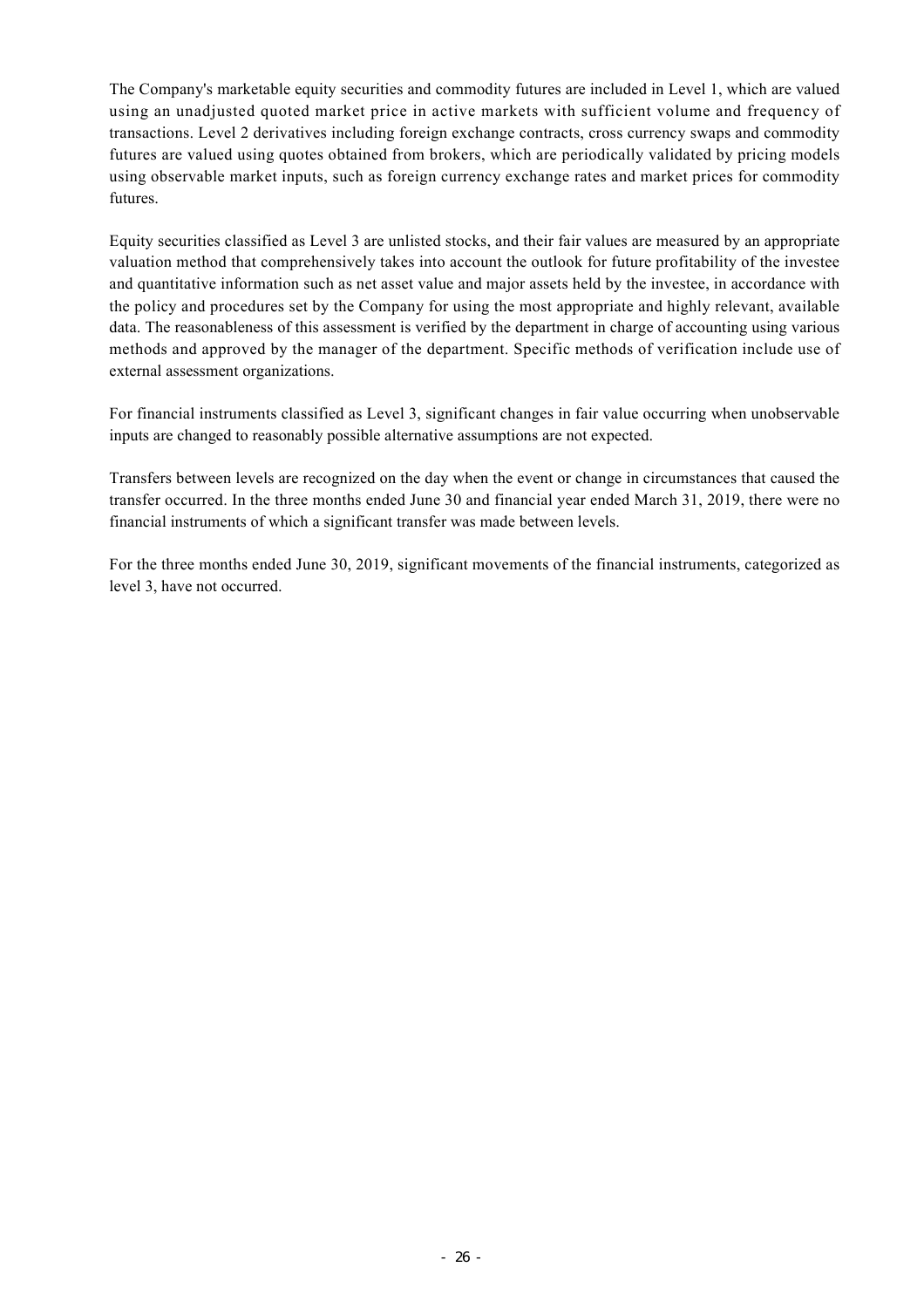The Company's marketable equity securities and commodity futures are included in Level 1, which are valued using an unadjusted quoted market price in active markets with sufficient volume and frequency of transactions. Level 2 derivatives including foreign exchange contracts, cross currency swaps and commodity futures are valued using quotes obtained from brokers, which are periodically validated by pricing models using observable market inputs, such as foreign currency exchange rates and market prices for commodity futures.

Equity securities classified as Level 3 are unlisted stocks, and their fair values are measured by an appropriate valuation method that comprehensively takes into account the outlook for future profitability of the investee and quantitative information such as net asset value and major assets held by the investee, in accordance with the policy and procedures set by the Company for using the most appropriate and highly relevant, available data. The reasonableness of this assessment is verified by the department in charge of accounting using various methods and approved by the manager of the department. Specific methods of verification include use of external assessment organizations.

For financial instruments classified as Level 3, significant changes in fair value occurring when unobservable inputs are changed to reasonably possible alternative assumptions are not expected.

Transfers between levels are recognized on the day when the event or change in circumstances that caused the transfer occurred. In the three months ended June 30 and financial year ended March 31, 2019, there were no financial instruments of which a significant transfer was made between levels.

For the three months ended June 30, 2019, significant movements of the financial instruments, categorized as level 3, have not occurred.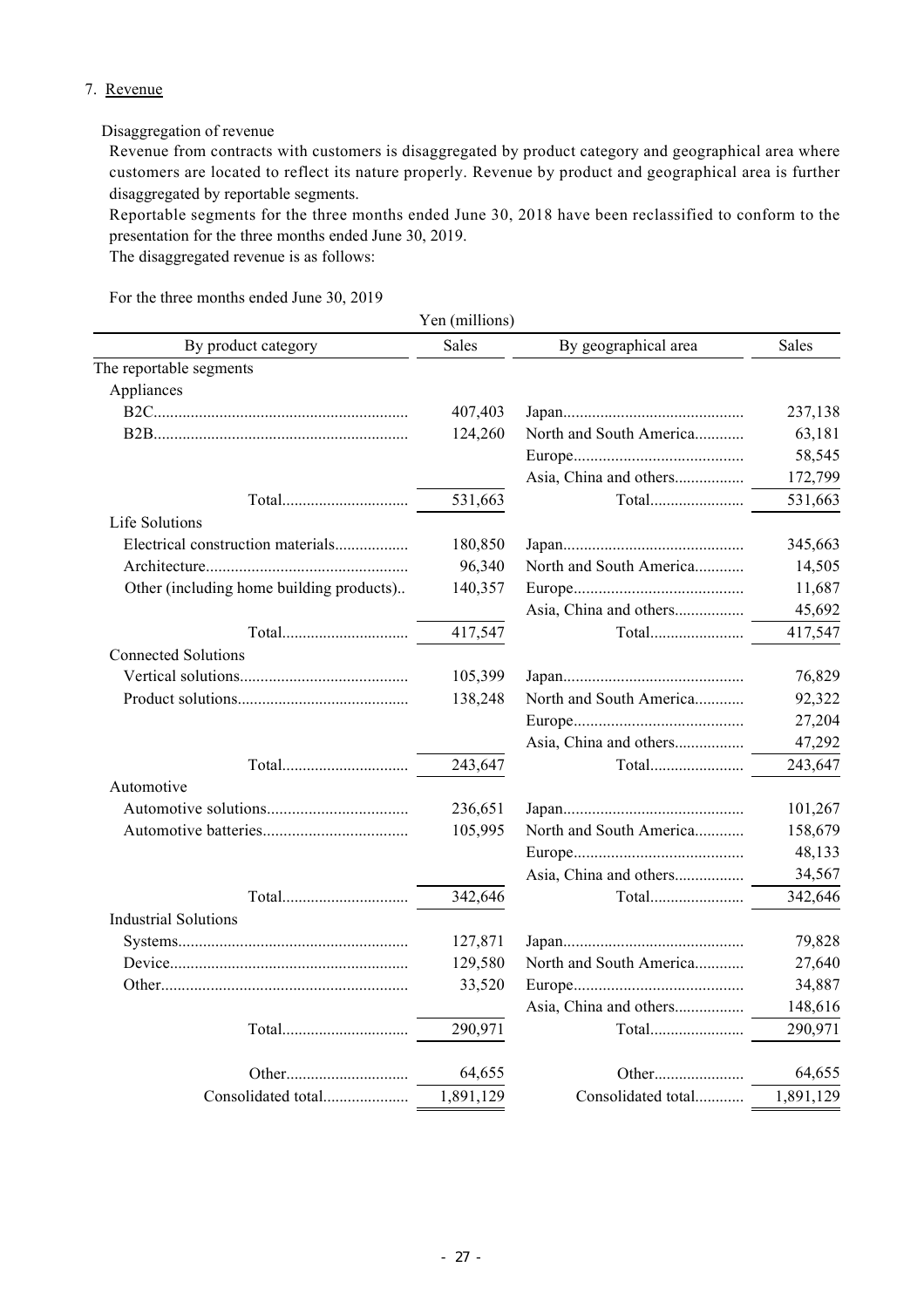### 7. Revenue

### Disaggregation of revenue

Revenue from contracts with customers is disaggregated by product category and geographical area where customers are located to reflect its nature properly. Revenue by product and geographical area is further disaggregated by reportable segments.

Reportable segments for the three months ended June 30, 2018 have been reclassified to conform to the presentation for the three months ended June 30, 2019.

The disaggregated revenue is as follows:

For the three months ended June 30, 2019

|                                          | Yen (millions) |                                                                                 |              |  |
|------------------------------------------|----------------|---------------------------------------------------------------------------------|--------------|--|
| By product category                      | <b>Sales</b>   | By geographical area                                                            | <b>Sales</b> |  |
| The reportable segments                  |                |                                                                                 |              |  |
| Appliances                               |                |                                                                                 |              |  |
|                                          | 407,403        |                                                                                 | 237,138      |  |
|                                          | 124,260        | North and South America                                                         | 63,181       |  |
|                                          |                |                                                                                 | 58,545       |  |
|                                          |                | Asia, China and others                                                          | 172,799      |  |
|                                          | 531,663        | $\label{eq:total} {\rm Total}. \dots \dots \dots \dots \dots \dots \dots \dots$ | 531,663      |  |
| Life Solutions                           |                |                                                                                 |              |  |
| Electrical construction materials        | 180,850        |                                                                                 | 345,663      |  |
|                                          | 96,340         | North and South America                                                         | 14,505       |  |
| Other (including home building products) | 140,357        |                                                                                 |              |  |
|                                          |                | Asia, China and others                                                          | 45,692       |  |
|                                          | 417,547        | Total                                                                           | 417,547      |  |
| <b>Connected Solutions</b>               |                |                                                                                 |              |  |
|                                          | 105,399        |                                                                                 | 76,829       |  |
|                                          | 138,248        | North and South America                                                         | 92,322       |  |
|                                          |                |                                                                                 | 27,204       |  |
|                                          |                | Asia, China and others                                                          | 47,292       |  |
|                                          | 243,647        | Total                                                                           | 243,647      |  |
| Automotive                               |                |                                                                                 |              |  |
|                                          | 236,651        |                                                                                 | 101,267      |  |
|                                          | 105,995        | North and South America                                                         | 158,679      |  |
|                                          |                |                                                                                 | 48,133       |  |
|                                          |                | Asia, China and others                                                          | 34,567       |  |
|                                          | 342,646        | Total                                                                           | 342,646      |  |
| <b>Industrial Solutions</b>              |                |                                                                                 |              |  |
|                                          | 127,871        |                                                                                 | 79,828       |  |
|                                          | 129,580        | North and South America                                                         | 27,640       |  |
|                                          | 33,520         |                                                                                 | 34,887       |  |
|                                          |                | Asia, China and others                                                          | 148,616      |  |
|                                          | 290,971        | Total                                                                           | 290,971      |  |
|                                          |                |                                                                                 |              |  |
|                                          | 64,655         |                                                                                 | 64,655       |  |
| Consolidated total                       | 1,891,129      | Consolidated total                                                              | 1,891,129    |  |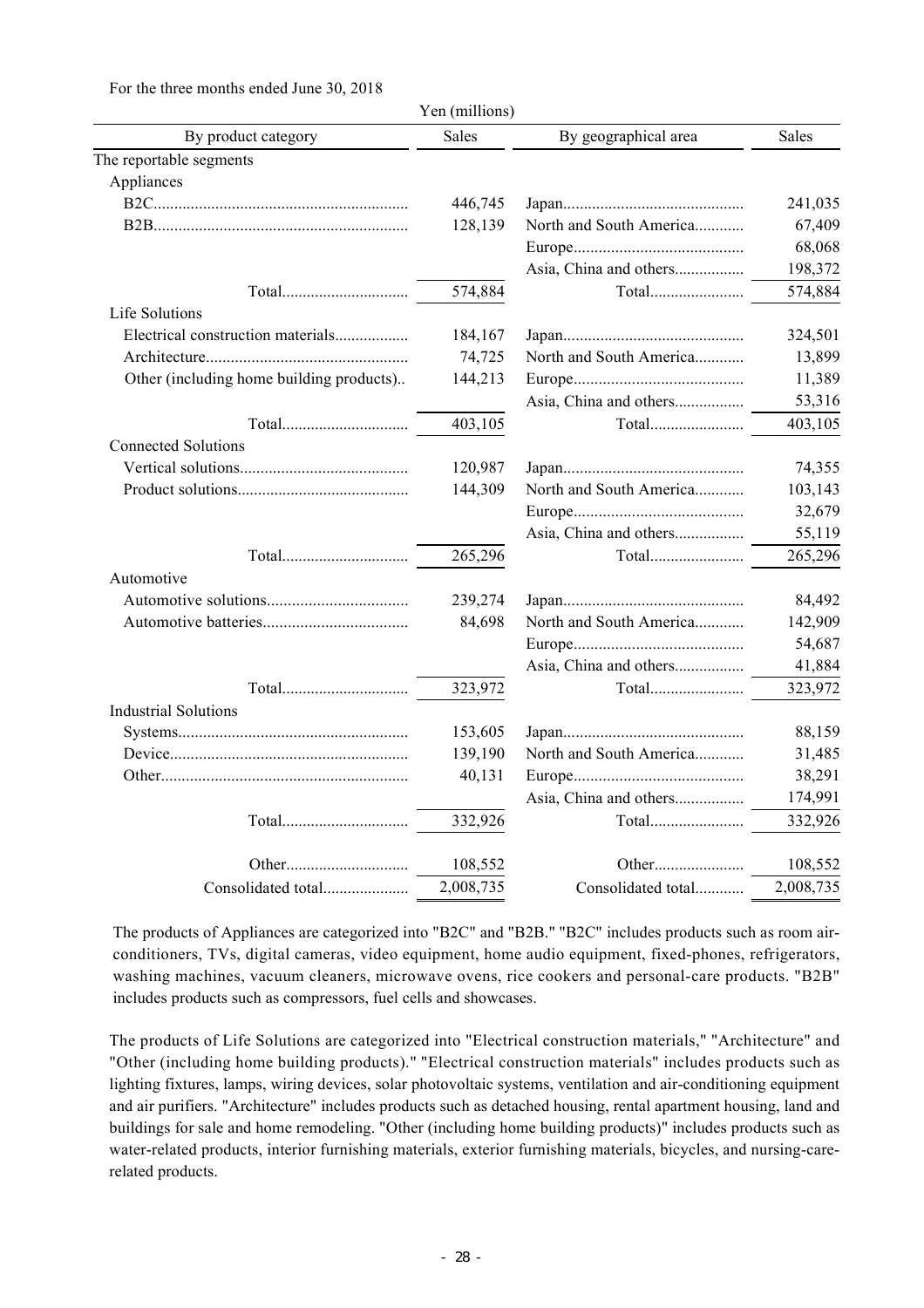For the three months ended June 30, 2018

|                                          | Yen (millions) |                         |              |
|------------------------------------------|----------------|-------------------------|--------------|
| By product category                      | <b>Sales</b>   | By geographical area    | <b>Sales</b> |
| The reportable segments                  |                |                         |              |
| Appliances                               |                |                         |              |
|                                          | 446,745        |                         | 241,035      |
|                                          | 128,139        | North and South America | 67,409       |
|                                          |                |                         | 68,068       |
|                                          |                | Asia, China and others  | 198,372      |
|                                          | 574,884        |                         | 574,884      |
| Life Solutions                           |                |                         |              |
| Electrical construction materials        | 184,167        |                         | 324,501      |
|                                          | 74,725         | North and South America | 13,899       |
| Other (including home building products) | 144,213        |                         | 11,389       |
|                                          |                | Asia, China and others  | 53,316       |
|                                          | 403,105        | Total                   | 403,105      |
| <b>Connected Solutions</b>               |                |                         |              |
|                                          | 120,987        |                         | 74,355       |
|                                          | 144,309        | North and South America | 103,143      |
|                                          |                |                         | 32,679       |
|                                          |                | Asia, China and others  | 55,119       |
|                                          | 265,296        | Total                   | 265,296      |
| Automotive                               |                |                         |              |
|                                          | 239,274        |                         | 84,492       |
|                                          | 84,698         | North and South America | 142,909      |
|                                          |                |                         | 54,687       |
|                                          |                | Asia, China and others  | 41,884       |
|                                          | 323,972        | Total                   | 323,972      |
| <b>Industrial Solutions</b>              |                |                         |              |
|                                          | 153,605        |                         | 88,159       |
|                                          | 139,190        | North and South America | 31,485       |
|                                          | 40,131         |                         | 38,291       |
|                                          |                | Asia, China and others  | 174,991      |
|                                          | 332,926        | Total                   | 332,926      |
|                                          | 108,552        |                         | 108,552      |
| Consolidated total                       | 2,008,735      | Consolidated total      | 2,008,735    |

The products of Appliances are categorized into "B2C" and "B2B." "B2C" includes products such as room airconditioners, TVs, digital cameras, video equipment, home audio equipment, fixed-phones, refrigerators, washing machines, vacuum cleaners, microwave ovens, rice cookers and personal-care products. "B2B" includes products such as compressors, fuel cells and showcases.

The products of Life Solutions are categorized into "Electrical construction materials," "Architecture" and "Other (including home building products)." "Electrical construction materials" includes products such as lighting fixtures, lamps, wiring devices, solar photovoltaic systems, ventilation and air-conditioning equipment and air purifiers. "Architecture" includes products such as detached housing, rental apartment housing, land and buildings for sale and home remodeling. "Other (including home building products)" includes products such as water-related products, interior furnishing materials, exterior furnishing materials, bicycles, and nursing-carerelated products.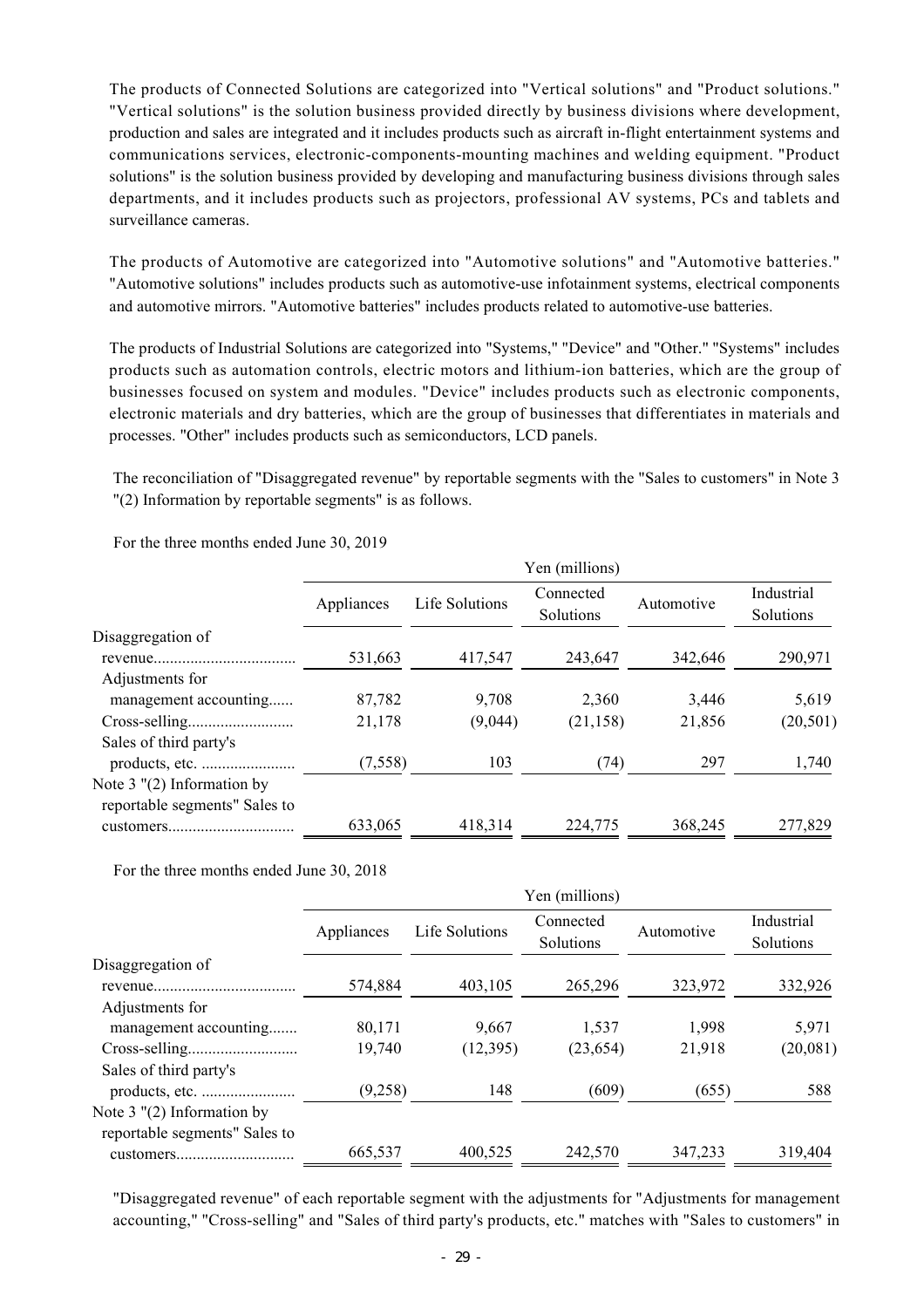The products of Connected Solutions are categorized into "Vertical solutions" and "Product solutions." "Vertical solutions" is the solution business provided directly by business divisions where development, production and sales are integrated and it includes products such as aircraft in-flight entertainment systems and communications services, electronic-components-mounting machines and welding equipment. "Product solutions" is the solution business provided by developing and manufacturing business divisions through sales departments, and it includes products such as projectors, professional AV systems, PCs and tablets and surveillance cameras.

The products of Automotive are categorized into "Automotive solutions" and "Automotive batteries." "Automotive solutions" includes products such as automotive-use infotainment systems, electrical components and automotive mirrors. "Automotive batteries" includes products related to automotive-use batteries.

The products of Industrial Solutions are categorized into "Systems," "Device" and "Other." "Systems" includes products such as automation controls, electric motors and lithium-ion batteries, which are the group of businesses focused on system and modules. "Device" includes products such as electronic components, electronic materials and dry batteries, which are the group of businesses that differentiates in materials and processes. "Other" includes products such as semiconductors, LCD panels.

The reconciliation of "Disaggregated revenue" by reportable segments with the "Sales to customers" in Note 3 "(2) Information by reportable segments" is as follows.

For the three months ended June 30, 2019

|                                                               | Yen (millions)   |                  |                        |                 |                         |
|---------------------------------------------------------------|------------------|------------------|------------------------|-----------------|-------------------------|
|                                                               | Appliances       | Life Solutions   | Connected<br>Solutions | Automotive      | Industrial<br>Solutions |
| Disaggregation of                                             | 531,663          | 417,547          | 243,647                | 342,646         | 290,971                 |
| Adjustments for<br>management accounting                      | 87,782<br>21,178 | 9,708<br>(9,044) | 2,360<br>(21, 158)     | 3,446<br>21,856 | 5,619<br>(20, 501)      |
| Sales of third party's                                        | (7,558)          | 103              | (74)                   | 297             | 1,740                   |
| Note $3$ "(2) Information by<br>reportable segments" Sales to | 633,065          | 418,314          | 224,775                | 368,245         | 277,829                 |

For the three months ended June 30, 2018

|                                                               | Yen (millions) |                |                        |            |                         |
|---------------------------------------------------------------|----------------|----------------|------------------------|------------|-------------------------|
|                                                               | Appliances     | Life Solutions | Connected<br>Solutions | Automotive | Industrial<br>Solutions |
| Disaggregation of                                             | 574,884        | 403,105        | 265,296                | 323,972    | 332,926                 |
| Adjustments for<br>management accounting                      | 80,171         | 9,667          | 1,537                  | 1,998      | 5,971                   |
| Sales of third party's                                        | 19,740         | (12, 395)      | (23, 654)              | 21,918     | (20,081)                |
| Note $3$ "(2) Information by<br>reportable segments" Sales to | (9,258)        | 148            | (609)                  | (655)      | 588                     |
|                                                               | 665,537        | 400,525        | 242,570                | 347,233    | 319,404                 |

"Disaggregated revenue" of each reportable segment with the adjustments for "Adjustments for management accounting," "Cross-selling" and "Sales of third party's products, etc." matches with "Sales to customers" in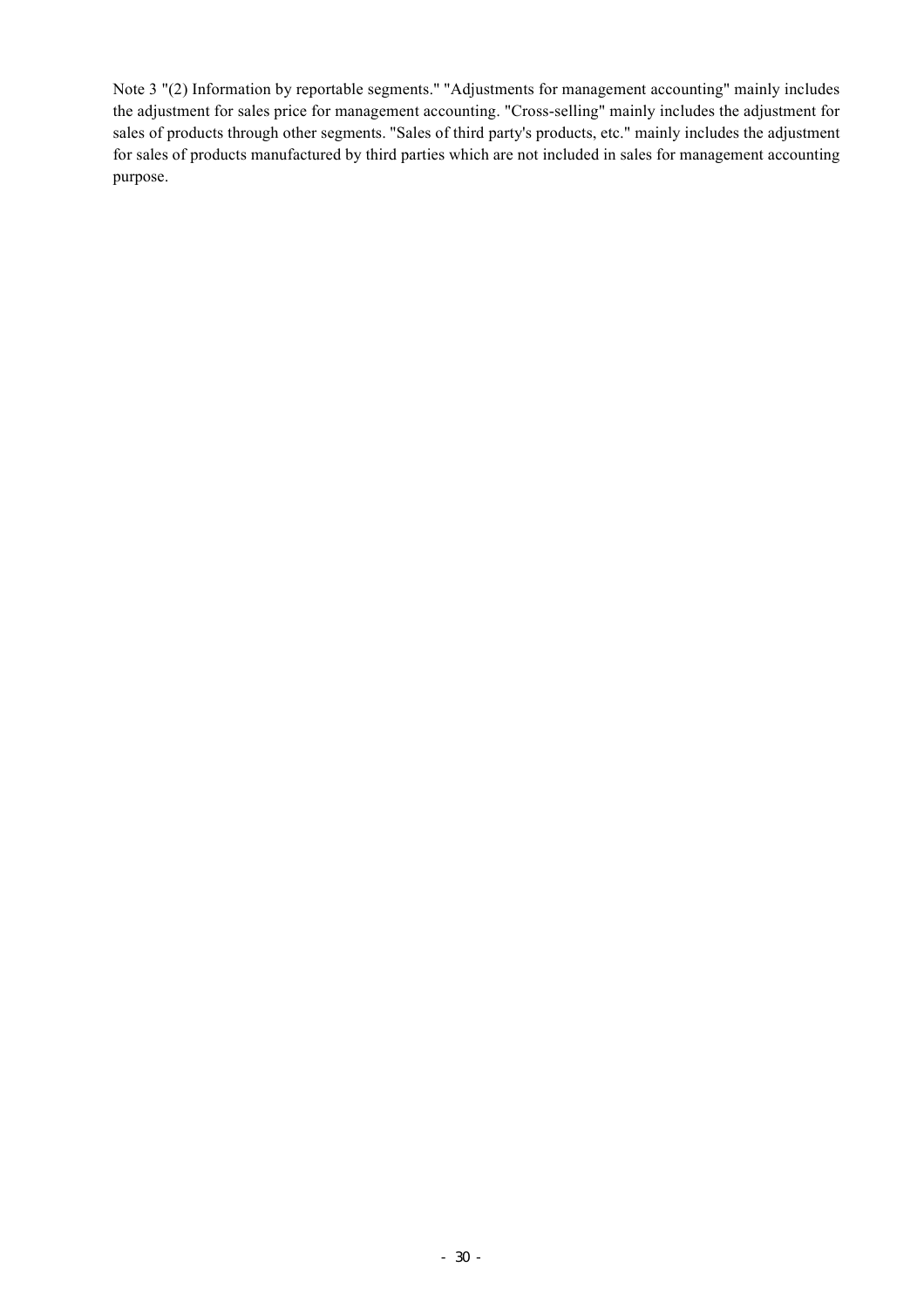Note 3 "(2) Information by reportable segments." "Adjustments for management accounting" mainly includes the adjustment for sales price for management accounting. "Cross-selling" mainly includes the adjustment for sales of products through other segments. "Sales of third party's products, etc." mainly includes the adjustment for sales of products manufactured by third parties which are not included in sales for management accounting purpose.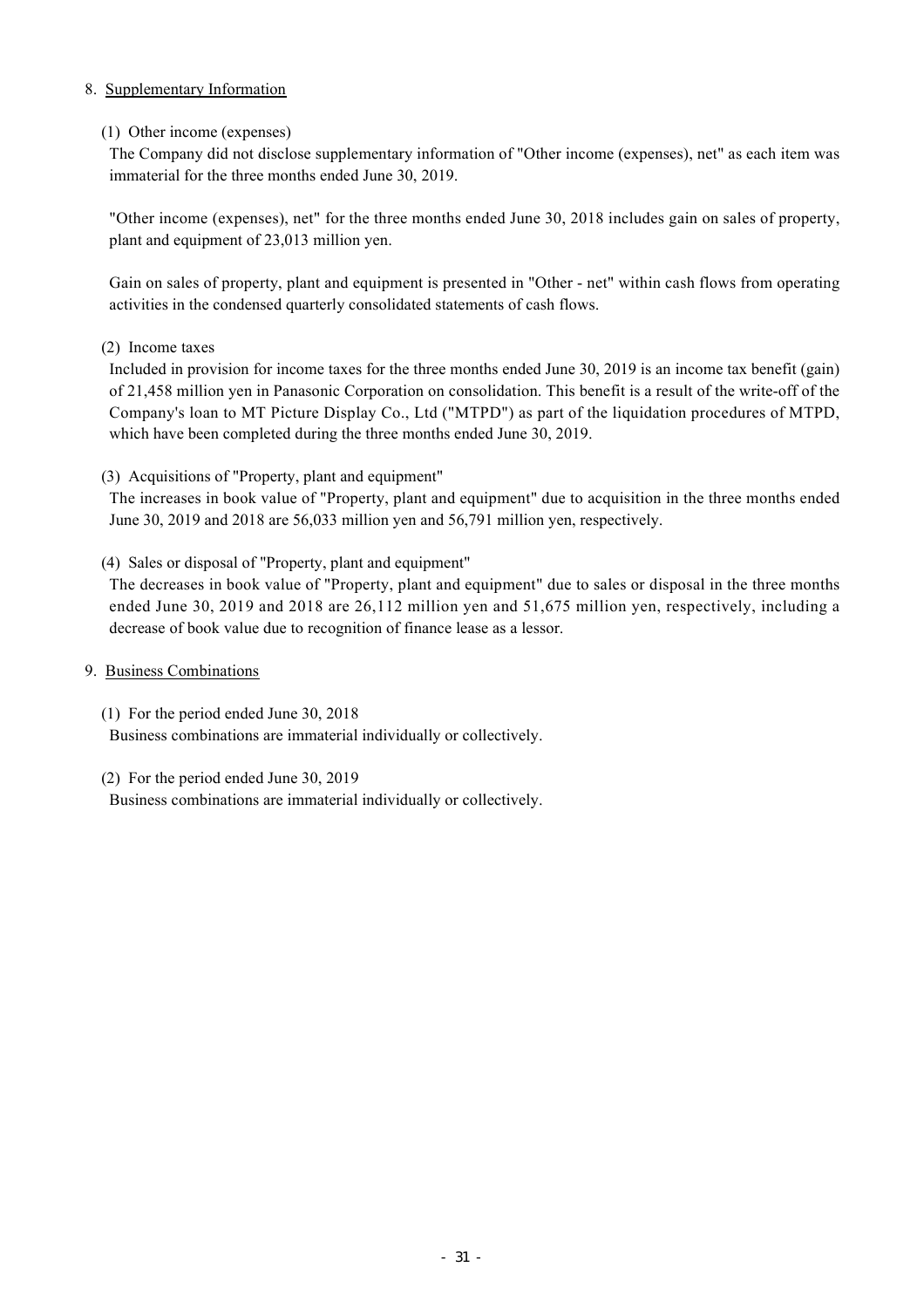### 8. Supplementary Information

### (1) Other income (expenses)

The Company did not disclose supplementary information of "Other income (expenses), net" as each item was immaterial for the three months ended June 30, 2019.

"Other income (expenses), net" for the three months ended June 30, 2018 includes gain on sales of property, plant and equipment of 23,013 million yen.

Gain on sales of property, plant and equipment is presented in "Other - net" within cash flows from operating activities in the condensed quarterly consolidated statements of cash flows.

### (2) Income taxes

Included in provision for income taxes for the three months ended June 30, 2019 is an income tax benefit (gain) of 21,458 million yen in Panasonic Corporation on consolidation. This benefit is a result of the write-off of the Company's loan to MT Picture Display Co., Ltd ("MTPD") as part of the liquidation procedures of MTPD, which have been completed during the three months ended June 30, 2019.

### (3) Acquisitions of "Property, plant and equipment"

The increases in book value of "Property, plant and equipment" due to acquisition in the three months ended June 30, 2019 and 2018 are 56,033 million yen and 56,791 million yen, respectively.

(4) Sales or disposal of "Property, plant and equipment"

The decreases in book value of "Property, plant and equipment" due to sales or disposal in the three months ended June 30, 2019 and 2018 are 26,112 million yen and 51,675 million yen, respectively, including a decrease of book value due to recognition of finance lease as a lessor.

### 9. Business Combinations

(1) For the period ended June 30, 2018

Business combinations are immaterial individually or collectively.

### (2) For the period ended June 30, 2019

Business combinations are immaterial individually or collectively.